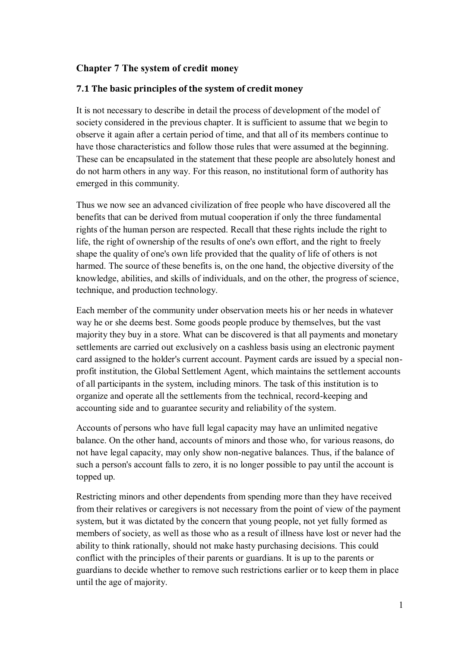# **Chapter 7 The system of credit money**

#### **7.1 The basic principles of the system of credit money**

It is not necessary to describe in detail the process of development of the model of society considered in the previous chapter. It is sufficient to assume that we begin to observe it again after a certain period of time, and that all of its members continue to have those characteristics and follow those rules that were assumed at the beginning. These can be encapsulated in the statement that these people are absolutely honest and do not harm others in any way. For this reason, no institutional form of authority has emerged in this community.

Thus we now see an advanced civilization of free people who have discovered all the benefits that can be derived from mutual cooperation if only the three fundamental rights of the human person are respected. Recall that these rights include the right to life, the right of ownership of the results of one's own effort, and the right to freely shape the quality of one's own life provided that the quality of life of others is not harmed. The source of these benefits is, on the one hand, the objective diversity of the knowledge, abilities, and skills of individuals, and on the other, the progress of science, technique, and production technology.

Each member of the community under observation meets his or her needs in whatever way he or she deems best. Some goods people produce by themselves, but the vast majority they buy in a store. What can be discovered is that all payments and monetary settlements are carried out exclusively on a cashless basis using an electronic payment card assigned to the holder's current account. Payment cards are issued by a special nonprofit institution, the Global Settlement Agent, which maintains the settlement accounts of all participants in the system, including minors. The task of this institution is to organize and operate all the settlements from the technical, record-keeping and accounting side and to guarantee security and reliability of the system.

Accounts of persons who have full legal capacity may have an unlimited negative balance. On the other hand, accounts of minors and those who, for various reasons, do not have legal capacity, may only show non-negative balances. Thus, if the balance of such a person's account falls to zero, it is no longer possible to pay until the account is topped up.

Restricting minors and other dependents from spending more than they have received from their relatives or caregivers is not necessary from the point of view of the payment system, but it was dictated by the concern that young people, not yet fully formed as members of society, as well as those who as a result of illness have lost or never had the ability to think rationally, should not make hasty purchasing decisions. This could conflict with the principles of their parents or guardians. It is up to the parents or guardians to decide whether to remove such restrictions earlier or to keep them in place until the age of majority.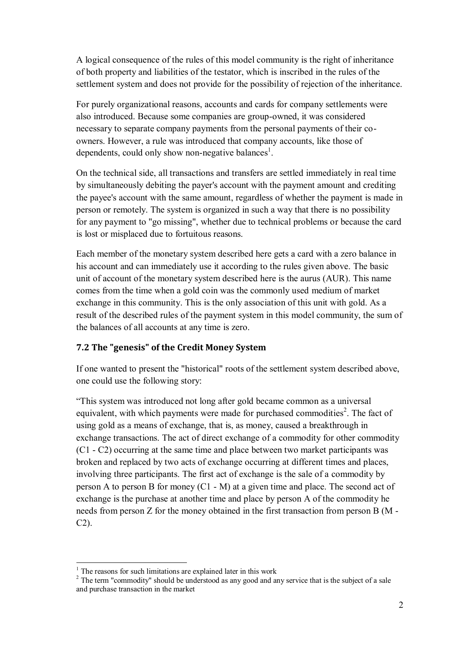A logical consequence of the rules of this model community is the right of inheritance of both property and liabilities of the testator, which is inscribed in the rules of the settlement system and does not provide for the possibility of rejection of the inheritance.

For purely organizational reasons, accounts and cards for company settlements were also introduced. Because some companies are group-owned, it was considered necessary to separate company payments from the personal payments of their coowners. However, a rule was introduced that company accounts, like those of dependents, could only show non-negative balances<sup>1</sup>.

On the technical side, all transactions and transfers are settled immediately in real time by simultaneously debiting the payer's account with the payment amount and crediting the payee's account with the same amount, regardless of whether the payment is made in person or remotely. The system is organized in such a way that there is no possibility for any payment to "go missing", whether due to technical problems or because the card is lost or misplaced due to fortuitous reasons.

Each member of the monetary system described here gets a card with a zero balance in his account and can immediately use it according to the rules given above. The basic unit of account of the monetary system described here is the aurus (AUR). This name comes from the time when a gold coin was the commonly used medium of market exchange in this community. This is the only association of this unit with gold. As a result of the described rules of the payment system in this model community, the sum of the balances of all accounts at any time is zero.

# **7.2 The "genesis" of the Credit Money System**

If one wanted to present the "historical" roots of the settlement system described above, one could use the following story:

"This system was introduced not long after gold became common as a universal equivalent, with which payments were made for purchased commodities<sup>2</sup>. The fact of using gold as a means of exchange, that is, as money, caused a breakthrough in exchange transactions. The act of direct exchange of a commodity for other commodity (C1 - C2) occurring at the same time and place between two market participants was broken and replaced by two acts of exchange occurring at different times and places, involving three participants. The first act of exchange is the sale of a commodity by person A to person B for money (C1 - M) at a given time and place. The second act of exchange is the purchase at another time and place by person A of the commodity he needs from person Z for the money obtained in the first transaction from person B (M - C2).

<sup>&</sup>lt;sup>1</sup> The reasons for such limitations are explained later in this work

<sup>&</sup>lt;sup>2</sup> The term "commodity" should be understood as any good and any service that is the subject of a sale and purchase transaction in the market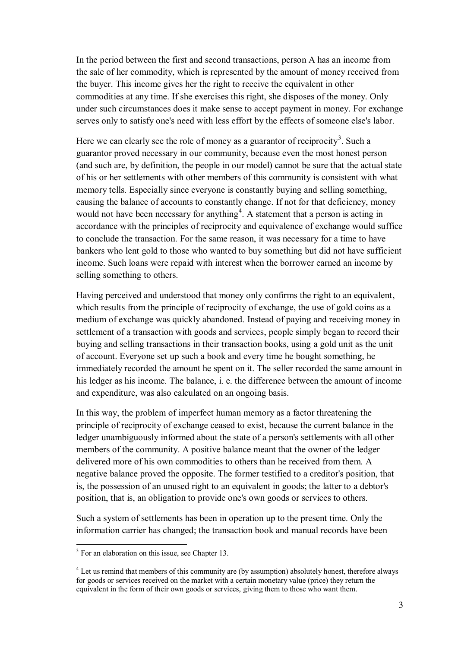In the period between the first and second transactions, person A has an income from the sale of her commodity, which is represented by the amount of money received from the buyer. This income gives her the right to receive the equivalent in other commodities at any time. If she exercises this right, she disposes of the money. Only under such circumstances does it make sense to accept payment in money. For exchange serves only to satisfy one's need with less effort by the effects of someone else's labor.

Here we can clearly see the role of money as a guarantor of reciprocity<sup>3</sup>. Such a guarantor proved necessary in our community, because even the most honest person (and such are, by definition, the people in our model) cannot be sure that the actual state of his or her settlements with other members of this community is consistent with what memory tells. Especially since everyone is constantly buying and selling something, causing the balance of accounts to constantly change. If not for that deficiency, money would not have been necessary for anything<sup>4</sup>. A statement that a person is acting in accordance with the principles of reciprocity and equivalence of exchange would suffice to conclude the transaction. For the same reason, it was necessary for a time to have bankers who lent gold to those who wanted to buy something but did not have sufficient income. Such loans were repaid with interest when the borrower earned an income by selling something to others.

Having perceived and understood that money only confirms the right to an equivalent, which results from the principle of reciprocity of exchange, the use of gold coins as a medium of exchange was quickly abandoned. Instead of paying and receiving money in settlement of a transaction with goods and services, people simply began to record their buying and selling transactions in their transaction books, using a gold unit as the unit of account. Everyone set up such a book and every time he bought something, he immediately recorded the amount he spent on it. The seller recorded the same amount in his ledger as his income. The balance, i. e. the difference between the amount of income and expenditure, was also calculated on an ongoing basis.

In this way, the problem of imperfect human memory as a factor threatening the principle of reciprocity of exchange ceased to exist, because the current balance in the ledger unambiguously informed about the state of a person's settlements with all other members of the community. A positive balance meant that the owner of the ledger delivered more of his own commodities to others than he received from them. A negative balance proved the opposite. The former testified to a creditor's position, that is, the possession of an unused right to an equivalent in goods; the latter to a debtor's position, that is, an obligation to provide one's own goods or services to others.

Such a system of settlements has been in operation up to the present time. Only the information carrier has changed; the transaction book and manual records have been

<sup>&</sup>lt;sup>3</sup> For an elaboration on this issue, see Chapter 13.

<sup>&</sup>lt;sup>4</sup> Let us remind that members of this community are (by assumption) absolutely honest, therefore always for goods or services received on the market with a certain monetary value (price) they return the equivalent in the form of their own goods or services, giving them to those who want them.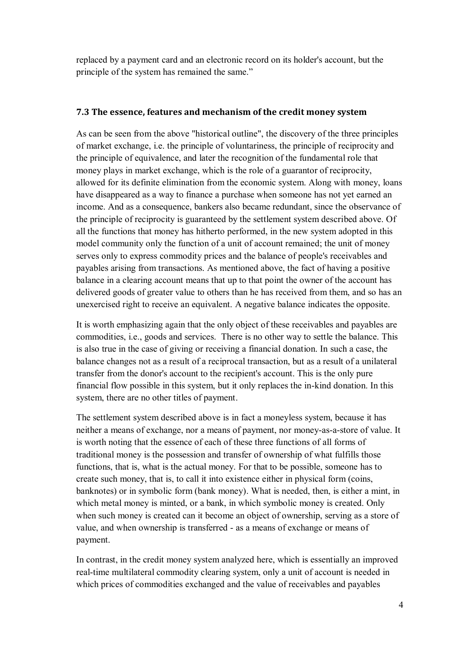replaced by a payment card and an electronic record on its holder's account, but the principle of the system has remained the same."

#### **7.3 The essence, features and mechanism of the credit money system**

As can be seen from the above "historical outline", the discovery of the three principles of market exchange, i.e. the principle of voluntariness, the principle of reciprocity and the principle of equivalence, and later the recognition of the fundamental role that money plays in market exchange, which is the role of a guarantor of reciprocity, allowed for its definite elimination from the economic system. Along with money, loans have disappeared as a way to finance a purchase when someone has not yet earned an income. And as a consequence, bankers also became redundant, since the observance of the principle of reciprocity is guaranteed by the settlement system described above. Of all the functions that money has hitherto performed, in the new system adopted in this model community only the function of a unit of account remained; the unit of money serves only to express commodity prices and the balance of people's receivables and payables arising from transactions. As mentioned above, the fact of having a positive balance in a clearing account means that up to that point the owner of the account has delivered goods of greater value to others than he has received from them, and so has an unexercised right to receive an equivalent. A negative balance indicates the opposite.

It is worth emphasizing again that the only object of these receivables and payables are commodities, i.e., goods and services. There is no other way to settle the balance. This is also true in the case of giving or receiving a financial donation. In such a case, the balance changes not as a result of a reciprocal transaction, but as a result of a unilateral transfer from the donor's account to the recipient's account. This is the only pure financial flow possible in this system, but it only replaces the in-kind donation. In this system, there are no other titles of payment.

The settlement system described above is in fact a moneyless system, because it has neither a means of exchange, nor a means of payment, nor money-as-a-store of value. It is worth noting that the essence of each of these three functions of all forms of traditional money is the possession and transfer of ownership of what fulfills those functions, that is, what is the actual money. For that to be possible, someone has to create such money, that is, to call it into existence either in physical form (coins, banknotes) or in symbolic form (bank money). What is needed, then, is either a mint, in which metal money is minted, or a bank, in which symbolic money is created. Only when such money is created can it become an object of ownership, serving as a store of value, and when ownership is transferred - as a means of exchange or means of payment.

In contrast, in the credit money system analyzed here, which is essentially an improved real-time multilateral commodity clearing system, only a unit of account is needed in which prices of commodities exchanged and the value of receivables and payables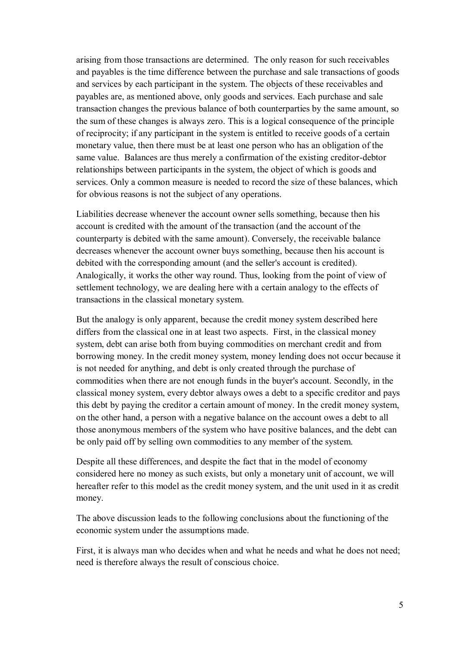arising from those transactions are determined. The only reason for such receivables and payables is the time difference between the purchase and sale transactions of goods and services by each participant in the system. The objects of these receivables and payables are, as mentioned above, only goods and services. Each purchase and sale transaction changes the previous balance of both counterparties by the same amount, so the sum of these changes is always zero. This is a logical consequence of the principle of reciprocity; if any participant in the system is entitled to receive goods of a certain monetary value, then there must be at least one person who has an obligation of the same value. Balances are thus merely a confirmation of the existing creditor-debtor relationships between participants in the system, the object of which is goods and services. Only a common measure is needed to record the size of these balances, which for obvious reasons is not the subject of any operations.

Liabilities decrease whenever the account owner sells something, because then his account is credited with the amount of the transaction (and the account of the counterparty is debited with the same amount). Conversely, the receivable balance decreases whenever the account owner buys something, because then his account is debited with the corresponding amount (and the seller's account is credited). Analogically, it works the other way round. Thus, looking from the point of view of settlement technology, we are dealing here with a certain analogy to the effects of transactions in the classical monetary system.

But the analogy is only apparent, because the credit money system described here differs from the classical one in at least two aspects. First, in the classical money system, debt can arise both from buying commodities on merchant credit and from borrowing money. In the credit money system, money lending does not occur because it is not needed for anything, and debt is only created through the purchase of commodities when there are not enough funds in the buyer's account. Secondly, in the classical money system, every debtor always owes a debt to a specific creditor and pays this debt by paying the creditor a certain amount of money. In the credit money system, on the other hand, a person with a negative balance on the account owes a debt to all those anonymous members of the system who have positive balances, and the debt can be only paid off by selling own commodities to any member of the system.

Despite all these differences, and despite the fact that in the model of economy considered here no money as such exists, but only a monetary unit of account, we will hereafter refer to this model as the credit money system, and the unit used in it as credit money.

The above discussion leads to the following conclusions about the functioning of the economic system under the assumptions made.

First, it is always man who decides when and what he needs and what he does not need; need is therefore always the result of conscious choice.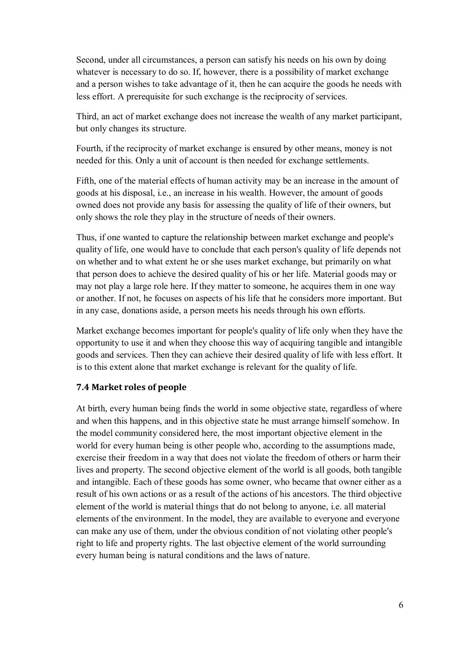Second, under all circumstances, a person can satisfy his needs on his own by doing whatever is necessary to do so. If, however, there is a possibility of market exchange and a person wishes to take advantage of it, then he can acquire the goods he needs with less effort. A prerequisite for such exchange is the reciprocity of services.

Third, an act of market exchange does not increase the wealth of any market participant, but only changes its structure.

Fourth, if the reciprocity of market exchange is ensured by other means, money is not needed for this. Only a unit of account is then needed for exchange settlements.

Fifth, one of the material effects of human activity may be an increase in the amount of goods at his disposal, i.e., an increase in his wealth. However, the amount of goods owned does not provide any basis for assessing the quality of life of their owners, but only shows the role they play in the structure of needs of their owners.

Thus, if one wanted to capture the relationship between market exchange and people's quality of life, one would have to conclude that each person's quality of life depends not on whether and to what extent he or she uses market exchange, but primarily on what that person does to achieve the desired quality of his or her life. Material goods may or may not play a large role here. If they matter to someone, he acquires them in one way or another. If not, he focuses on aspects of his life that he considers more important. But in any case, donations aside, a person meets his needs through his own efforts.

Market exchange becomes important for people's quality of life only when they have the opportunity to use it and when they choose this way of acquiring tangible and intangible goods and services. Then they can achieve their desired quality of life with less effort. It is to this extent alone that market exchange is relevant for the quality of life.

# **7.4 Market roles of people**

At birth, every human being finds the world in some objective state, regardless of where and when this happens, and in this objective state he must arrange himself somehow. In the model community considered here, the most important objective element in the world for every human being is other people who, according to the assumptions made, exercise their freedom in a way that does not violate the freedom of others or harm their lives and property. The second objective element of the world is all goods, both tangible and intangible. Each of these goods has some owner, who became that owner either as a result of his own actions or as a result of the actions of his ancestors. The third objective element of the world is material things that do not belong to anyone, i.e. all material elements of the environment. In the model, they are available to everyone and everyone can make any use of them, under the obvious condition of not violating other people's right to life and property rights. The last objective element of the world surrounding every human being is natural conditions and the laws of nature.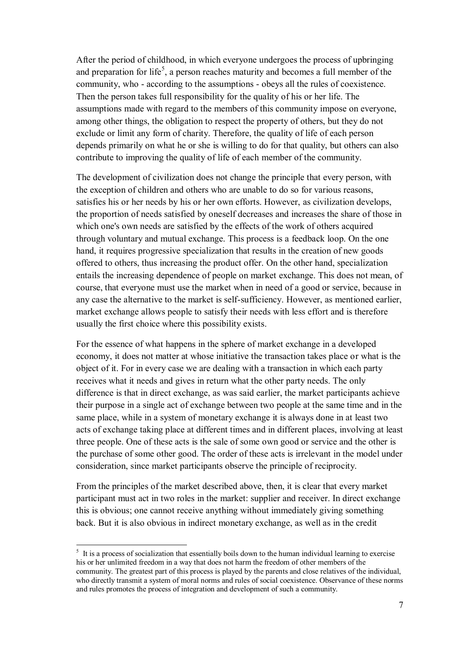After the period of childhood, in which everyone undergoes the process of upbringing and preparation for life<sup>5</sup>, a person reaches maturity and becomes a full member of the community, who - according to the assumptions - obeys all the rules of coexistence. Then the person takes full responsibility for the quality of his or her life. The assumptions made with regard to the members of this community impose on everyone, among other things, the obligation to respect the property of others, but they do not exclude or limit any form of charity. Therefore, the quality of life of each person depends primarily on what he or she is willing to do for that quality, but others can also contribute to improving the quality of life of each member of the community.

The development of civilization does not change the principle that every person, with the exception of children and others who are unable to do so for various reasons, satisfies his or her needs by his or her own efforts. However, as civilization develops, the proportion of needs satisfied by oneself decreases and increases the share of those in which one's own needs are satisfied by the effects of the work of others acquired through voluntary and mutual exchange. This process is a feedback loop. On the one hand, it requires progressive specialization that results in the creation of new goods offered to others, thus increasing the product offer. On the other hand, specialization entails the increasing dependence of people on market exchange. This does not mean, of course, that everyone must use the market when in need of a good or service, because in any case the alternative to the market is self-sufficiency. However, as mentioned earlier, market exchange allows people to satisfy their needs with less effort and is therefore usually the first choice where this possibility exists.

For the essence of what happens in the sphere of market exchange in a developed economy, it does not matter at whose initiative the transaction takes place or what is the object of it. For in every case we are dealing with a transaction in which each party receives what it needs and gives in return what the other party needs. The only difference is that in direct exchange, as was said earlier, the market participants achieve their purpose in a single act of exchange between two people at the same time and in the same place, while in a system of monetary exchange it is always done in at least two acts of exchange taking place at different times and in different places, involving at least three people. One of these acts is the sale of some own good or service and the other is the purchase of some other good. The order of these acts is irrelevant in the model under consideration, since market participants observe the principle of reciprocity.

From the principles of the market described above, then, it is clear that every market participant must act in two roles in the market: supplier and receiver. In direct exchange this is obvious; one cannot receive anything without immediately giving something back. But it is also obvious in indirect monetary exchange, as well as in the credit

<sup>&</sup>lt;sup>5</sup> It is a process of socialization that essentially boils down to the human individual learning to exercise his or her unlimited freedom in a way that does not harm the freedom of other members of the community. The greatest part of this process is played by the parents and close relatives of the individual, who directly transmit a system of moral norms and rules of social coexistence. Observance of these norms and rules promotes the process of integration and development of such a community.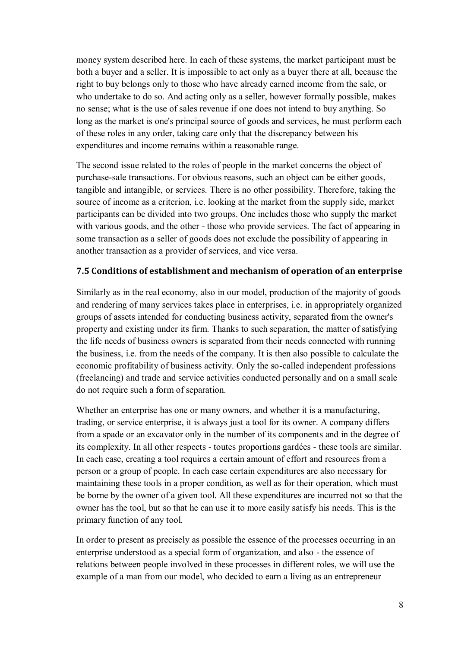money system described here. In each of these systems, the market participant must be both a buyer and a seller. It is impossible to act only as a buyer there at all, because the right to buy belongs only to those who have already earned income from the sale, or who undertake to do so. And acting only as a seller, however formally possible, makes no sense; what is the use of sales revenue if one does not intend to buy anything. So long as the market is one's principal source of goods and services, he must perform each of these roles in any order, taking care only that the discrepancy between his expenditures and income remains within a reasonable range.

The second issue related to the roles of people in the market concerns the object of purchase-sale transactions. For obvious reasons, such an object can be either goods, tangible and intangible, or services. There is no other possibility. Therefore, taking the source of income as a criterion, i.e. looking at the market from the supply side, market participants can be divided into two groups. One includes those who supply the market with various goods, and the other - those who provide services. The fact of appearing in some transaction as a seller of goods does not exclude the possibility of appearing in another transaction as a provider of services, and vice versa.

#### **7.5 Conditions of establishment and mechanism of operation of an enterprise**

Similarly as in the real economy, also in our model, production of the majority of goods and rendering of many services takes place in enterprises, i.e. in appropriately organized groups of assets intended for conducting business activity, separated from the owner's property and existing under its firm. Thanks to such separation, the matter of satisfying the life needs of business owners is separated from their needs connected with running the business, i.e. from the needs of the company. It is then also possible to calculate the economic profitability of business activity. Only the so-called independent professions (freelancing) and trade and service activities conducted personally and on a small scale do not require such a form of separation.

Whether an enterprise has one or many owners, and whether it is a manufacturing, trading, or service enterprise, it is always just a tool for its owner. A company differs from a spade or an excavator only in the number of its components and in the degree of its complexity. In all other respects - toutes proportions gardées - these tools are similar. In each case, creating a tool requires a certain amount of effort and resources from a person or a group of people. In each case certain expenditures are also necessary for maintaining these tools in a proper condition, as well as for their operation, which must be borne by the owner of a given tool. All these expenditures are incurred not so that the owner has the tool, but so that he can use it to more easily satisfy his needs. This is the primary function of any tool.

In order to present as precisely as possible the essence of the processes occurring in an enterprise understood as a special form of organization, and also - the essence of relations between people involved in these processes in different roles, we will use the example of a man from our model, who decided to earn a living as an entrepreneur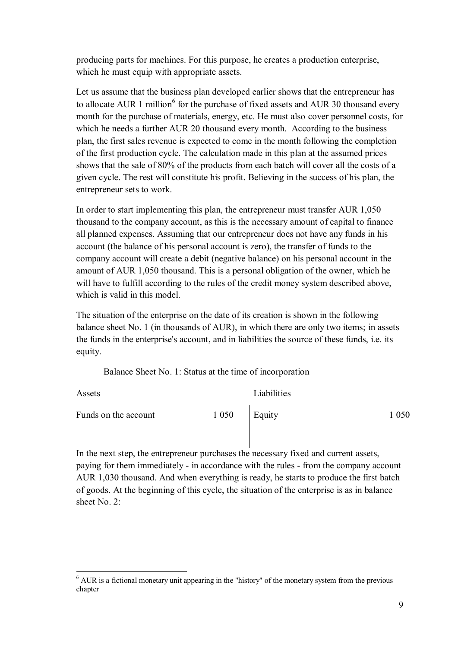producing parts for machines. For this purpose, he creates a production enterprise, which he must equip with appropriate assets.

Let us assume that the business plan developed earlier shows that the entrepreneur has to allocate AUR 1 million<sup>6</sup> for the purchase of fixed assets and AUR 30 thousand every month for the purchase of materials, energy, etc. He must also cover personnel costs, for which he needs a further AUR 20 thousand every month. According to the business plan, the first sales revenue is expected to come in the month following the completion of the first production cycle. The calculation made in this plan at the assumed prices shows that the sale of 80% of the products from each batch will cover all the costs of a given cycle. The rest will constitute his profit. Believing in the success of his plan, the entrepreneur sets to work.

In order to start implementing this plan, the entrepreneur must transfer AUR 1,050 thousand to the company account, as this is the necessary amount of capital to finance all planned expenses. Assuming that our entrepreneur does not have any funds in his account (the balance of his personal account is zero), the transfer of funds to the company account will create a debit (negative balance) on his personal account in the amount of AUR 1,050 thousand. This is a personal obligation of the owner, which he will have to fulfill according to the rules of the credit money system described above, which is valid in this model.

The situation of the enterprise on the date of its creation is shown in the following balance sheet No. 1 (in thousands of AUR), in which there are only two items; in assets the funds in the enterprise's account, and in liabilities the source of these funds, i.e. its equity.

Balance Sheet No. 1: Status at the time of incorporation

| Assets               |         | Liabilities |         |
|----------------------|---------|-------------|---------|
| Funds on the account | 1 0 5 0 | Equity      | 1 0 5 0 |

In the next step, the entrepreneur purchases the necessary fixed and current assets, paying for them immediately - in accordance with the rules - from the company account AUR 1,030 thousand. And when everything is ready, he starts to produce the first batch of goods. At the beginning of this cycle, the situation of the enterprise is as in balance sheet No. 2:

 $\overline{a}$  $6$  AUR is a fictional monetary unit appearing in the "history" of the monetary system from the previous chapter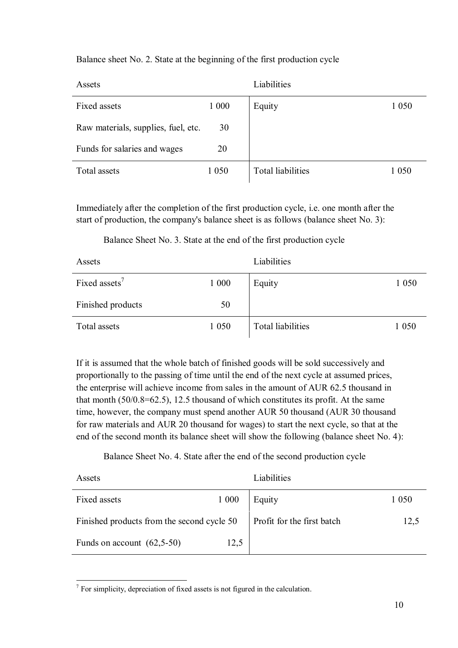Balance sheet No. 2. State at the beginning of the first production cycle

| Assets                              |         | Liabilities       |         |
|-------------------------------------|---------|-------------------|---------|
| Fixed assets                        | 1 0 0 0 | Equity            | 1 0 5 0 |
| Raw materials, supplies, fuel, etc. | 30      |                   |         |
| Funds for salaries and wages        | 20      |                   |         |
| Total assets                        | 1 0 5 0 | Total liabilities | 1 0 5 0 |

Immediately after the completion of the first production cycle, i.e. one month after the start of production, the company's balance sheet is as follows (balance sheet No. 3):

Balance Sheet No. 3. State at the end of the first production cycle

| Assets                    |         | Liabilities       |         |
|---------------------------|---------|-------------------|---------|
| Fixed assets <sup>7</sup> | 1 0 0 0 | Equity            | 1 0 5 0 |
| Finished products         | 50      |                   |         |
| Total assets              | 1 0 5 0 | Total liabilities | 1 0 5 0 |

If it is assumed that the whole batch of finished goods will be sold successively and proportionally to the passing of time until the end of the next cycle at assumed prices, the enterprise will achieve income from sales in the amount of AUR 62.5 thousand in that month (50/0.8=62.5), 12.5 thousand of which constitutes its profit. At the same time, however, the company must spend another AUR 50 thousand (AUR 30 thousand for raw materials and AUR 20 thousand for wages) to start the next cycle, so that at the end of the second month its balance sheet will show the following (balance sheet No. 4):

Balance Sheet No. 4. State after the end of the second production cycle

| Assets                                     |         | Liabilities                |         |
|--------------------------------------------|---------|----------------------------|---------|
| Fixed assets                               | 1 0 0 0 | Equity                     | 1 0 5 0 |
| Finished products from the second cycle 50 |         | Profit for the first batch | 12,5    |
| Funds on account $(62,5-50)$               | 12,5    |                            |         |

 $<sup>7</sup>$  For simplicity, depreciation of fixed assets is not figured in the calculation.</sup>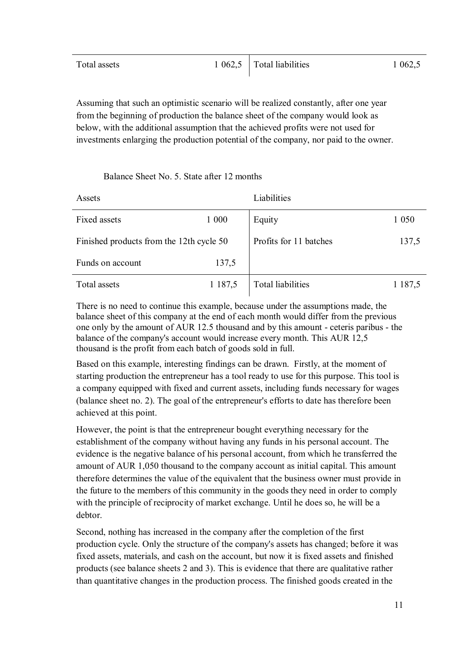| Total assets | $1\,062,5$ Total liabilities | 1 0 6 2 , 5 |
|--------------|------------------------------|-------------|
|              |                              |             |

Assuming that such an optimistic scenario will be realized constantly, after one year from the beginning of production the balance sheet of the company would look as below, with the additional assumption that the achieved profits were not used for investments enlarging the production potential of the company, nor paid to the owner.

Balance Sheet No. 5. State after 12 months

| Assets                                   |         | Liabilities            |             |
|------------------------------------------|---------|------------------------|-------------|
| Fixed assets                             | 1 000   | Equity                 | 1 0 5 0     |
| Finished products from the 12th cycle 50 |         | Profits for 11 batches | 137,5       |
| Funds on account                         | 137,5   |                        |             |
| Total assets                             | 1 187,5 | Total liabilities      | 1 1 8 7 , 5 |

There is no need to continue this example, because under the assumptions made, the balance sheet of this company at the end of each month would differ from the previous one only by the amount of AUR 12.5 thousand and by this amount - ceteris paribus - the balance of the company's account would increase every month. This AUR 12,5 thousand is the profit from each batch of goods sold in full.

Based on this example, interesting findings can be drawn. Firstly, at the moment of starting production the entrepreneur has a tool ready to use for this purpose. This tool is a company equipped with fixed and current assets, including funds necessary for wages (balance sheet no. 2). The goal of the entrepreneur's efforts to date has therefore been achieved at this point.

However, the point is that the entrepreneur bought everything necessary for the establishment of the company without having any funds in his personal account. The evidence is the negative balance of his personal account, from which he transferred the amount of AUR 1,050 thousand to the company account as initial capital. This amount therefore determines the value of the equivalent that the business owner must provide in the future to the members of this community in the goods they need in order to comply with the principle of reciprocity of market exchange. Until he does so, he will be a debtor.

Second, nothing has increased in the company after the completion of the first production cycle. Only the structure of the company's assets has changed; before it was fixed assets, materials, and cash on the account, but now it is fixed assets and finished products (see balance sheets 2 and 3). This is evidence that there are qualitative rather than quantitative changes in the production process. The finished goods created in the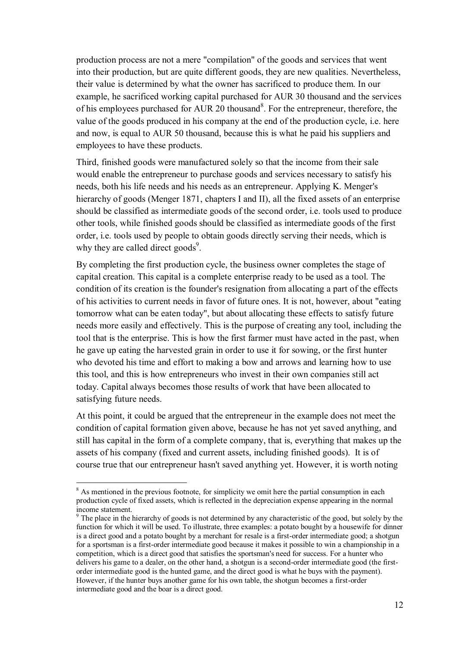production process are not a mere "compilation" of the goods and services that went into their production, but are quite different goods, they are new qualities. Nevertheless, their value is determined by what the owner has sacrificed to produce them. In our example, he sacrificed working capital purchased for AUR 30 thousand and the services of his employees purchased for AUR 20 thousand<sup>8</sup>. For the entrepreneur, therefore, the value of the goods produced in his company at the end of the production cycle, i.e. here and now, is equal to AUR 50 thousand, because this is what he paid his suppliers and employees to have these products.

Third, finished goods were manufactured solely so that the income from their sale would enable the entrepreneur to purchase goods and services necessary to satisfy his needs, both his life needs and his needs as an entrepreneur. Applying K. Menger's hierarchy of goods (Menger 1871, chapters I and II), all the fixed assets of an enterprise should be classified as intermediate goods of the second order, i.e. tools used to produce other tools, while finished goods should be classified as intermediate goods of the first order, i.e. tools used by people to obtain goods directly serving their needs, which is why they are called direct goods<sup>9</sup>.

By completing the first production cycle, the business owner completes the stage of capital creation. This capital is a complete enterprise ready to be used as a tool. The condition of its creation is the founder's resignation from allocating a part of the effects of his activities to current needs in favor of future ones. It is not, however, about "eating tomorrow what can be eaten today", but about allocating these effects to satisfy future needs more easily and effectively. This is the purpose of creating any tool, including the tool that is the enterprise. This is how the first farmer must have acted in the past, when he gave up eating the harvested grain in order to use it for sowing, or the first hunter who devoted his time and effort to making a bow and arrows and learning how to use this tool, and this is how entrepreneurs who invest in their own companies still act today. Capital always becomes those results of work that have been allocated to satisfying future needs.

At this point, it could be argued that the entrepreneur in the example does not meet the condition of capital formation given above, because he has not yet saved anything, and still has capital in the form of a complete company, that is, everything that makes up the assets of his company (fixed and current assets, including finished goods). It is of course true that our entrepreneur hasn't saved anything yet. However, it is worth noting

<sup>&</sup>lt;sup>8</sup> As mentioned in the previous footnote, for simplicity we omit here the partial consumption in each production cycle of fixed assets, which is reflected in the depreciation expense appearing in the normal income statement.

<sup>&</sup>lt;sup>9</sup> The place in the hierarchy of goods is not determined by any characteristic of the good, but solely by the function for which it will be used. To illustrate, three examples: a potato bought by a housewife for dinner is a direct good and a potato bought by a merchant for resale is a first-order intermediate good; a shotgun for a sportsman is a first-order intermediate good because it makes it possible to win a championship in a competition, which is a direct good that satisfies the sportsman's need for success. For a hunter who delivers his game to a dealer, on the other hand, a shotgun is a second-order intermediate good (the firstorder intermediate good is the hunted game, and the direct good is what he buys with the payment). However, if the hunter buys another game for his own table, the shotgun becomes a first-order intermediate good and the boar is a direct good.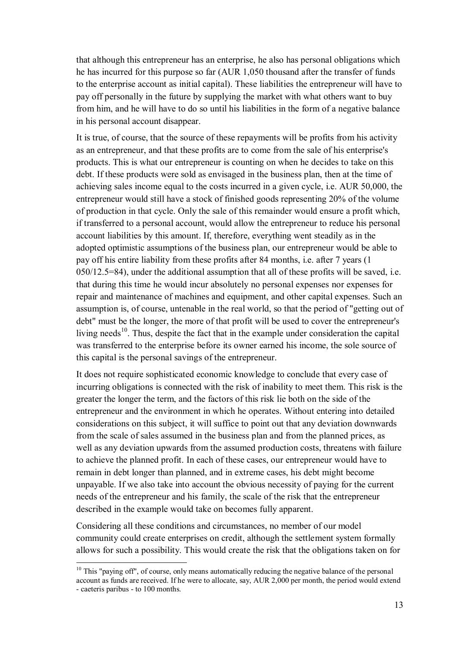that although this entrepreneur has an enterprise, he also has personal obligations which he has incurred for this purpose so far (AUR 1,050 thousand after the transfer of funds to the enterprise account as initial capital). These liabilities the entrepreneur will have to pay off personally in the future by supplying the market with what others want to buy from him, and he will have to do so until his liabilities in the form of a negative balance in his personal account disappear.

It is true, of course, that the source of these repayments will be profits from his activity as an entrepreneur, and that these profits are to come from the sale of his enterprise's products. This is what our entrepreneur is counting on when he decides to take on this debt. If these products were sold as envisaged in the business plan, then at the time of achieving sales income equal to the costs incurred in a given cycle, i.e. AUR 50,000, the entrepreneur would still have a stock of finished goods representing 20% of the volume of production in that cycle. Only the sale of this remainder would ensure a profit which, if transferred to a personal account, would allow the entrepreneur to reduce his personal account liabilities by this amount. If, therefore, everything went steadily as in the adopted optimistic assumptions of the business plan, our entrepreneur would be able to pay off his entire liability from these profits after 84 months, i.e. after 7 years (1 050/12.5=84), under the additional assumption that all of these profits will be saved, i.e. that during this time he would incur absolutely no personal expenses nor expenses for repair and maintenance of machines and equipment, and other capital expenses. Such an assumption is, of course, untenable in the real world, so that the period of "getting out of debt" must be the longer, the more of that profit will be used to cover the entrepreneur's living needs<sup>10</sup>. Thus, despite the fact that in the example under consideration the capital was transferred to the enterprise before its owner earned his income, the sole source of this capital is the personal savings of the entrepreneur.

It does not require sophisticated economic knowledge to conclude that every case of incurring obligations is connected with the risk of inability to meet them. This risk is the greater the longer the term, and the factors of this risk lie both on the side of the entrepreneur and the environment in which he operates. Without entering into detailed considerations on this subject, it will suffice to point out that any deviation downwards from the scale of sales assumed in the business plan and from the planned prices, as well as any deviation upwards from the assumed production costs, threatens with failure to achieve the planned profit. In each of these cases, our entrepreneur would have to remain in debt longer than planned, and in extreme cases, his debt might become unpayable. If we also take into account the obvious necessity of paying for the current needs of the entrepreneur and his family, the scale of the risk that the entrepreneur described in the example would take on becomes fully apparent.

Considering all these conditions and circumstances, no member of our model community could create enterprises on credit, although the settlement system formally allows for such a possibility. This would create the risk that the obligations taken on for

 $10$  This "paying off", of course, only means automatically reducing the negative balance of the personal account as funds are received. If he were to allocate, say, AUR 2,000 per month, the period would extend - caeteris paribus - to 100 months.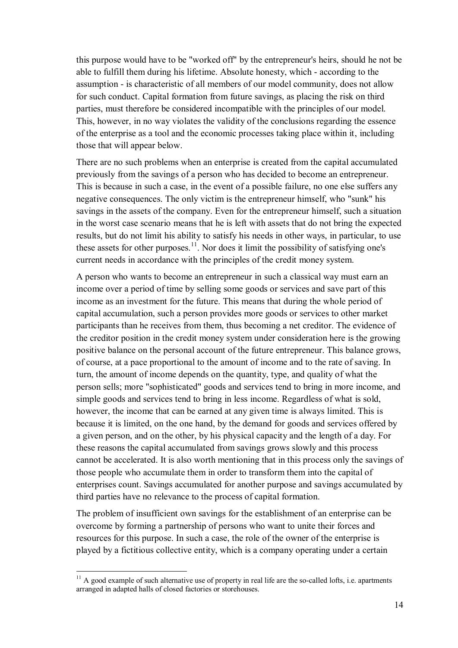this purpose would have to be "worked off" by the entrepreneur's heirs, should he not be able to fulfill them during his lifetime. Absolute honesty, which - according to the assumption - is characteristic of all members of our model community, does not allow for such conduct. Capital formation from future savings, as placing the risk on third parties, must therefore be considered incompatible with the principles of our model. This, however, in no way violates the validity of the conclusions regarding the essence of the enterprise as a tool and the economic processes taking place within it, including those that will appear below.

There are no such problems when an enterprise is created from the capital accumulated previously from the savings of a person who has decided to become an entrepreneur. This is because in such a case, in the event of a possible failure, no one else suffers any negative consequences. The only victim is the entrepreneur himself, who "sunk" his savings in the assets of the company. Even for the entrepreneur himself, such a situation in the worst case scenario means that he is left with assets that do not bring the expected results, but do not limit his ability to satisfy his needs in other ways, in particular, to use these assets for other purposes.<sup>11</sup>. Nor does it limit the possibility of satisfying one's current needs in accordance with the principles of the credit money system.

A person who wants to become an entrepreneur in such a classical way must earn an income over a period of time by selling some goods or services and save part of this income as an investment for the future. This means that during the whole period of capital accumulation, such a person provides more goods or services to other market participants than he receives from them, thus becoming a net creditor. The evidence of the creditor position in the credit money system under consideration here is the growing positive balance on the personal account of the future entrepreneur. This balance grows, of course, at a pace proportional to the amount of income and to the rate of saving. In turn, the amount of income depends on the quantity, type, and quality of what the person sells; more "sophisticated" goods and services tend to bring in more income, and simple goods and services tend to bring in less income. Regardless of what is sold, however, the income that can be earned at any given time is always limited. This is because it is limited, on the one hand, by the demand for goods and services offered by a given person, and on the other, by his physical capacity and the length of a day. For these reasons the capital accumulated from savings grows slowly and this process cannot be accelerated. It is also worth mentioning that in this process only the savings of those people who accumulate them in order to transform them into the capital of enterprises count. Savings accumulated for another purpose and savings accumulated by third parties have no relevance to the process of capital formation.

The problem of insufficient own savings for the establishment of an enterprise can be overcome by forming a partnership of persons who want to unite their forces and resources for this purpose. In such a case, the role of the owner of the enterprise is played by a fictitious collective entity, which is a company operating under a certain

 $11$  A good example of such alternative use of property in real life are the so-called lofts, i.e. apartments arranged in adapted halls of closed factories or storehouses.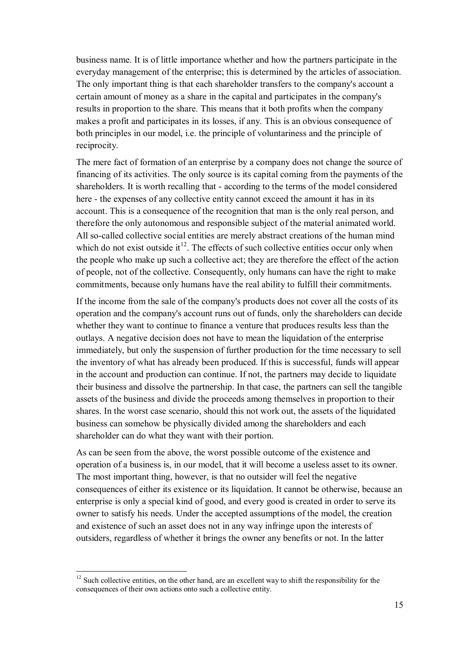business name. It is of little importance whether and how the partners participate in the everyday management of the enterprise; this is determined by the articles of association. The only important thing is that each shareholder transfers to the company's account a certain amount of money as a share in the capital and participates in the company's results in proportion to the share. This means that it both profits when the company makes a profit and participates in its losses, if any. This is an obvious consequence of both principles in our model, i.e. the principle of voluntariness and the principle of reciprocity.

The mere fact of formation of an enterprise by a company does not change the source of financing of its activities. The only source is its capital coming from the payments of the shareholders. It is worth recalling that - according to the terms of the model considered here - the expenses of any collective entity cannot exceed the amount it has in its account. This is a consequence of the recognition that man is the only real person, and therefore the only autonomous and responsible subject of the material animated world. All so-called collective social entities are merely abstract creations of the human mind which do not exist outside it<sup>12</sup>. The effects of such collective entities occur only when the people who make up such a collective act; they are therefore the effect of the action of people, not of the collective. Consequently, only humans can have the right to make commitments, because only humans have the real ability to fulfill their commitments.

If the income from the sale of the company's products does not cover all the costs of its operation and the company's account runs out of funds, only the shareholders can decide whether they want to continue to finance a venture that produces results less than the outlays. A negative decision does not have to mean the liquidation of the enterprise immediately, but only the suspension of further production for the time necessary to sell the inventory of what has already been produced. If this is successful, funds will appear in the account and production can continue. If not, the partners may decide to liquidate their business and dissolve the partnership. In that case, the partners can sell the tangible assets of the business and divide the proceeds among themselves in proportion to their shares. In the worst case scenario, should this not work out, the assets of the liquidated business can somehow be physically divided among the shareholders and each shareholder can do what they want with their portion.

As can be seen from the above, the worst possible outcome of the existence and operation of a business is, in our model, that it will become a useless asset to its owner. The most important thing, however, is that no outsider will feel the negative consequences of either its existence or its liquidation. It cannot be otherwise, because an enterprise is only a special kind of good, and every good is created in order to serve its owner to satisfy his needs. Under the accepted assumptions of the model, the creation and existence of such an asset does not in any way infringe upon the interests of outsiders, regardless of whether it brings the owner any benefits or not. In the latter

<sup>&</sup>lt;sup>12</sup> Such collective entities, on the other hand, are an excellent way to shift the responsibility for the consequences of their own actions onto such a collective entity.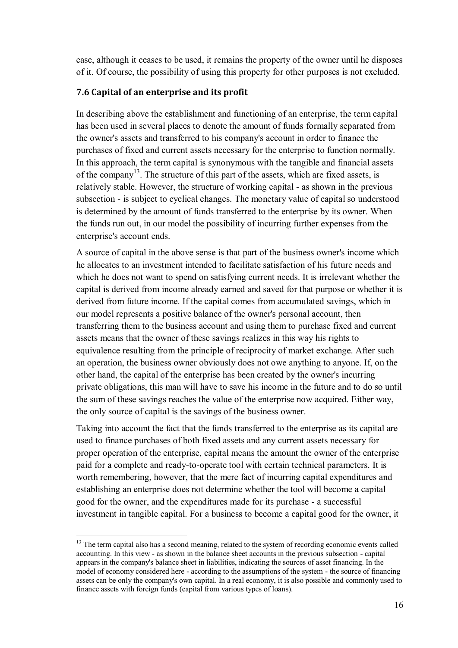case, although it ceases to be used, it remains the property of the owner until he disposes of it. Of course, the possibility of using this property for other purposes is not excluded.

### **7.6 Capital of an enterprise and its profit**

In describing above the establishment and functioning of an enterprise, the term capital has been used in several places to denote the amount of funds formally separated from the owner's assets and transferred to his company's account in order to finance the purchases of fixed and current assets necessary for the enterprise to function normally. In this approach, the term capital is synonymous with the tangible and financial assets of the company<sup>13</sup>. The structure of this part of the assets, which are fixed assets, is relatively stable. However, the structure of working capital - as shown in the previous subsection - is subject to cyclical changes. The monetary value of capital so understood is determined by the amount of funds transferred to the enterprise by its owner. When the funds run out, in our model the possibility of incurring further expenses from the enterprise's account ends.

A source of capital in the above sense is that part of the business owner's income which he allocates to an investment intended to facilitate satisfaction of his future needs and which he does not want to spend on satisfying current needs. It is irrelevant whether the capital is derived from income already earned and saved for that purpose or whether it is derived from future income. If the capital comes from accumulated savings, which in our model represents a positive balance of the owner's personal account, then transferring them to the business account and using them to purchase fixed and current assets means that the owner of these savings realizes in this way his rights to equivalence resulting from the principle of reciprocity of market exchange. After such an operation, the business owner obviously does not owe anything to anyone. If, on the other hand, the capital of the enterprise has been created by the owner's incurring private obligations, this man will have to save his income in the future and to do so until the sum of these savings reaches the value of the enterprise now acquired. Either way, the only source of capital is the savings of the business owner.

Taking into account the fact that the funds transferred to the enterprise as its capital are used to finance purchases of both fixed assets and any current assets necessary for proper operation of the enterprise, capital means the amount the owner of the enterprise paid for a complete and ready-to-operate tool with certain technical parameters. It is worth remembering, however, that the mere fact of incurring capital expenditures and establishing an enterprise does not determine whether the tool will become a capital good for the owner, and the expenditures made for its purchase - a successful investment in tangible capital. For a business to become a capital good for the owner, it

 $13$  The term capital also has a second meaning, related to the system of recording economic events called accounting. In this view - as shown in the balance sheet accounts in the previous subsection - capital appears in the company's balance sheet in liabilities, indicating the sources of asset financing. In the model of economy considered here - according to the assumptions of the system - the source of financing assets can be only the company's own capital. In a real economy, it is also possible and commonly used to finance assets with foreign funds (capital from various types of loans).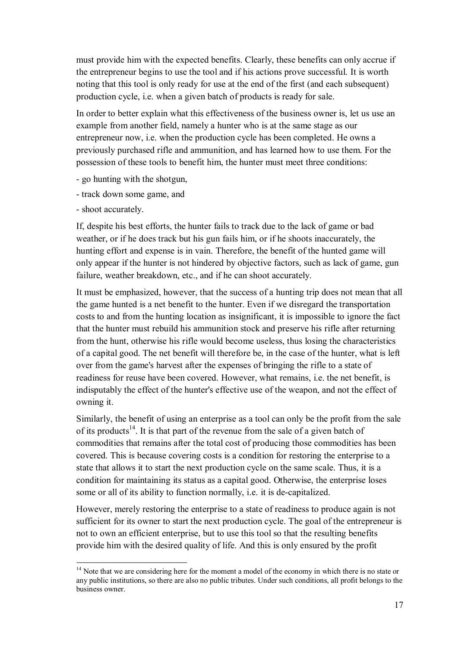must provide him with the expected benefits. Clearly, these benefits can only accrue if the entrepreneur begins to use the tool and if his actions prove successful. It is worth noting that this tool is only ready for use at the end of the first (and each subsequent) production cycle, i.e. when a given batch of products is ready for sale.

In order to better explain what this effectiveness of the business owner is, let us use an example from another field, namely a hunter who is at the same stage as our entrepreneur now, i.e. when the production cycle has been completed. He owns a previously purchased rifle and ammunition, and has learned how to use them. For the possession of these tools to benefit him, the hunter must meet three conditions:

- go hunting with the shotgun,
- track down some game, and
- shoot accurately.

 $\overline{a}$ 

If, despite his best efforts, the hunter fails to track due to the lack of game or bad weather, or if he does track but his gun fails him, or if he shoots inaccurately, the hunting effort and expense is in vain. Therefore, the benefit of the hunted game will only appear if the hunter is not hindered by objective factors, such as lack of game, gun failure, weather breakdown, etc., and if he can shoot accurately.

It must be emphasized, however, that the success of a hunting trip does not mean that all the game hunted is a net benefit to the hunter. Even if we disregard the transportation costs to and from the hunting location as insignificant, it is impossible to ignore the fact that the hunter must rebuild his ammunition stock and preserve his rifle after returning from the hunt, otherwise his rifle would become useless, thus losing the characteristics of a capital good. The net benefit will therefore be, in the case of the hunter, what is left over from the game's harvest after the expenses of bringing the rifle to a state of readiness for reuse have been covered. However, what remains, i.e. the net benefit, is indisputably the effect of the hunter's effective use of the weapon, and not the effect of owning it.

Similarly, the benefit of using an enterprise as a tool can only be the profit from the sale of its products<sup>14</sup>. It is that part of the revenue from the sale of a given batch of commodities that remains after the total cost of producing those commodities has been covered. This is because covering costs is a condition for restoring the enterprise to a state that allows it to start the next production cycle on the same scale. Thus, it is a condition for maintaining its status as a capital good. Otherwise, the enterprise loses some or all of its ability to function normally, i.e. it is de-capitalized.

However, merely restoring the enterprise to a state of readiness to produce again is not sufficient for its owner to start the next production cycle. The goal of the entrepreneur is not to own an efficient enterprise, but to use this tool so that the resulting benefits provide him with the desired quality of life. And this is only ensured by the profit

<sup>&</sup>lt;sup>14</sup> Note that we are considering here for the moment a model of the economy in which there is no state or any public institutions, so there are also no public tributes. Under such conditions, all profit belongs to the business owner.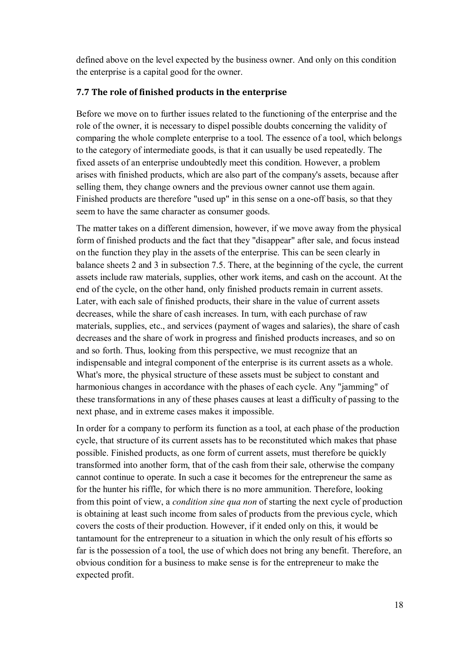defined above on the level expected by the business owner. And only on this condition the enterprise is a capital good for the owner.

# **7.7 The role of finished products in the enterprise**

Before we move on to further issues related to the functioning of the enterprise and the role of the owner, it is necessary to dispel possible doubts concerning the validity of comparing the whole complete enterprise to a tool. The essence of a tool, which belongs to the category of intermediate goods, is that it can usually be used repeatedly. The fixed assets of an enterprise undoubtedly meet this condition. However, a problem arises with finished products, which are also part of the company's assets, because after selling them, they change owners and the previous owner cannot use them again. Finished products are therefore "used up" in this sense on a one-off basis, so that they seem to have the same character as consumer goods.

The matter takes on a different dimension, however, if we move away from the physical form of finished products and the fact that they "disappear" after sale, and focus instead on the function they play in the assets of the enterprise. This can be seen clearly in balance sheets 2 and 3 in subsection 7.5. There, at the beginning of the cycle, the current assets include raw materials, supplies, other work items, and cash on the account. At the end of the cycle, on the other hand, only finished products remain in current assets. Later, with each sale of finished products, their share in the value of current assets decreases, while the share of cash increases. In turn, with each purchase of raw materials, supplies, etc., and services (payment of wages and salaries), the share of cash decreases and the share of work in progress and finished products increases, and so on and so forth. Thus, looking from this perspective, we must recognize that an indispensable and integral component of the enterprise is its current assets as a whole. What's more, the physical structure of these assets must be subject to constant and harmonious changes in accordance with the phases of each cycle. Any "jamming" of these transformations in any of these phases causes at least a difficulty of passing to the next phase, and in extreme cases makes it impossible.

In order for a company to perform its function as a tool, at each phase of the production cycle, that structure of its current assets has to be reconstituted which makes that phase possible. Finished products, as one form of current assets, must therefore be quickly transformed into another form, that of the cash from their sale, otherwise the company cannot continue to operate. In such a case it becomes for the entrepreneur the same as for the hunter his riffle, for which there is no more ammunition. Therefore, looking from this point of view, a *condition sine qua non* of starting the next cycle of production is obtaining at least such income from sales of products from the previous cycle, which covers the costs of their production. However, if it ended only on this, it would be tantamount for the entrepreneur to a situation in which the only result of his efforts so far is the possession of a tool, the use of which does not bring any benefit. Therefore, an obvious condition for a business to make sense is for the entrepreneur to make the expected profit.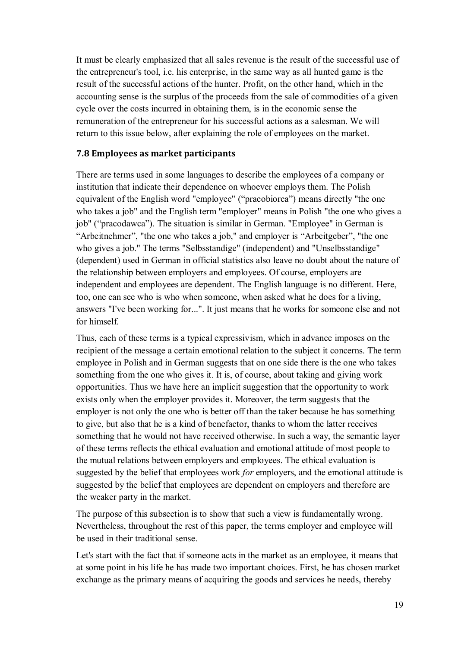It must be clearly emphasized that all sales revenue is the result of the successful use of the entrepreneur's tool, i.e. his enterprise, in the same way as all hunted game is the result of the successful actions of the hunter. Profit, on the other hand, which in the accounting sense is the surplus of the proceeds from the sale of commodities of a given cycle over the costs incurred in obtaining them, is in the economic sense the remuneration of the entrepreneur for his successful actions as a salesman. We will return to this issue below, after explaining the role of employees on the market.

#### **7.8 Employees as market participants**

There are terms used in some languages to describe the employees of a company or institution that indicate their dependence on whoever employs them. The Polish equivalent of the English word "employee" ("pracobiorca") means directly "the one who takes a job" and the English term "employer" means in Polish "the one who gives a job" ("pracodawca"). The situation is similar in German. "Employee" in German is "Arbeitnehmer", "the one who takes a job," and employer is "Arbeitgeber", "the one who gives a job." The terms "Selbsstandige" (independent) and "Unselbsstandige" (dependent) used in German in official statistics also leave no doubt about the nature of the relationship between employers and employees. Of course, employers are independent and employees are dependent. The English language is no different. Here, too, one can see who is who when someone, when asked what he does for a living, answers "I've been working for...". It just means that he works for someone else and not for himself.

Thus, each of these terms is a typical expressivism, which in advance imposes on the recipient of the message a certain emotional relation to the subject it concerns. The term employee in Polish and in German suggests that on one side there is the one who takes something from the one who gives it. It is, of course, about taking and giving work opportunities. Thus we have here an implicit suggestion that the opportunity to work exists only when the employer provides it. Moreover, the term suggests that the employer is not only the one who is better off than the taker because he has something to give, but also that he is a kind of benefactor, thanks to whom the latter receives something that he would not have received otherwise. In such a way, the semantic layer of these terms reflects the ethical evaluation and emotional attitude of most people to the mutual relations between employers and employees. The ethical evaluation is suggested by the belief that employees work *for* employers, and the emotional attitude is suggested by the belief that employees are dependent on employers and therefore are the weaker party in the market.

The purpose of this subsection is to show that such a view is fundamentally wrong. Nevertheless, throughout the rest of this paper, the terms employer and employee will be used in their traditional sense.

Let's start with the fact that if someone acts in the market as an employee, it means that at some point in his life he has made two important choices. First, he has chosen market exchange as the primary means of acquiring the goods and services he needs, thereby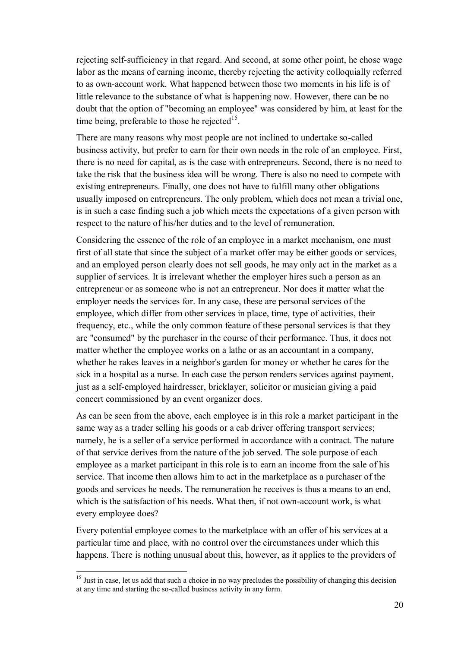rejecting self-sufficiency in that regard. And second, at some other point, he chose wage labor as the means of earning income, thereby rejecting the activity colloquially referred to as own-account work. What happened between those two moments in his life is of little relevance to the substance of what is happening now. However, there can be no doubt that the option of "becoming an employee" was considered by him, at least for the time being, preferable to those he rejected $15$ .

There are many reasons why most people are not inclined to undertake so-called business activity, but prefer to earn for their own needs in the role of an employee. First, there is no need for capital, as is the case with entrepreneurs. Second, there is no need to take the risk that the business idea will be wrong. There is also no need to compete with existing entrepreneurs. Finally, one does not have to fulfill many other obligations usually imposed on entrepreneurs. The only problem, which does not mean a trivial one, is in such a case finding such a job which meets the expectations of a given person with respect to the nature of his/her duties and to the level of remuneration.

Considering the essence of the role of an employee in a market mechanism, one must first of all state that since the subject of a market offer may be either goods or services, and an employed person clearly does not sell goods, he may only act in the market as a supplier of services. It is irrelevant whether the employer hires such a person as an entrepreneur or as someone who is not an entrepreneur. Nor does it matter what the employer needs the services for. In any case, these are personal services of the employee, which differ from other services in place, time, type of activities, their frequency, etc., while the only common feature of these personal services is that they are "consumed" by the purchaser in the course of their performance. Thus, it does not matter whether the employee works on a lathe or as an accountant in a company, whether he rakes leaves in a neighbor's garden for money or whether he cares for the sick in a hospital as a nurse. In each case the person renders services against payment, just as a self-employed hairdresser, bricklayer, solicitor or musician giving a paid concert commissioned by an event organizer does.

As can be seen from the above, each employee is in this role a market participant in the same way as a trader selling his goods or a cab driver offering transport services; namely, he is a seller of a service performed in accordance with a contract. The nature of that service derives from the nature of the job served. The sole purpose of each employee as a market participant in this role is to earn an income from the sale of his service. That income then allows him to act in the marketplace as a purchaser of the goods and services he needs. The remuneration he receives is thus a means to an end, which is the satisfaction of his needs. What then, if not own-account work, is what every employee does?

Every potential employee comes to the marketplace with an offer of his services at a particular time and place, with no control over the circumstances under which this happens. There is nothing unusual about this, however, as it applies to the providers of

<sup>&</sup>lt;sup>15</sup> Just in case, let us add that such a choice in no way precludes the possibility of changing this decision at any time and starting the so-called business activity in any form.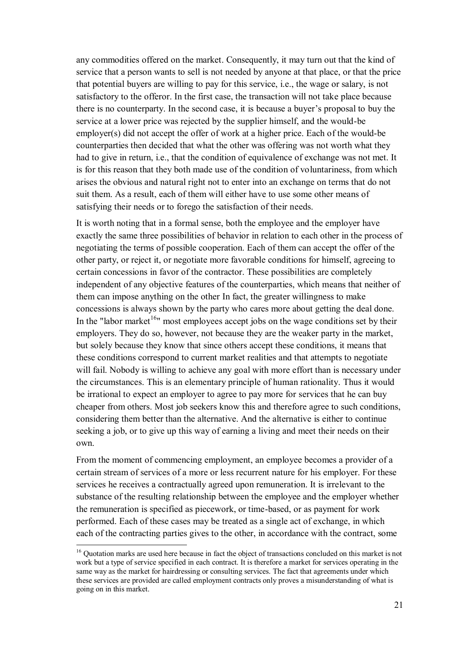any commodities offered on the market. Consequently, it may turn out that the kind of service that a person wants to sell is not needed by anyone at that place, or that the price that potential buyers are willing to pay for this service, i.e., the wage or salary, is not satisfactory to the offeror. In the first case, the transaction will not take place because there is no counterparty. In the second case, it is because a buyer's proposal to buy the service at a lower price was rejected by the supplier himself, and the would-be employer(s) did not accept the offer of work at a higher price. Each of the would-be counterparties then decided that what the other was offering was not worth what they had to give in return, i.e., that the condition of equivalence of exchange was not met. It is for this reason that they both made use of the condition of voluntariness, from which arises the obvious and natural right not to enter into an exchange on terms that do not suit them. As a result, each of them will either have to use some other means of satisfying their needs or to forego the satisfaction of their needs.

It is worth noting that in a formal sense, both the employee and the employer have exactly the same three possibilities of behavior in relation to each other in the process of negotiating the terms of possible cooperation. Each of them can accept the offer of the other party, or reject it, or negotiate more favorable conditions for himself, agreeing to certain concessions in favor of the contractor. These possibilities are completely independent of any objective features of the counterparties, which means that neither of them can impose anything on the other In fact, the greater willingness to make concessions is always shown by the party who cares more about getting the deal done. In the "labor market<sup>16</sup>" most employees accept jobs on the wage conditions set by their employers. They do so, however, not because they are the weaker party in the market, but solely because they know that since others accept these conditions, it means that these conditions correspond to current market realities and that attempts to negotiate will fail. Nobody is willing to achieve any goal with more effort than is necessary under the circumstances. This is an elementary principle of human rationality. Thus it would be irrational to expect an employer to agree to pay more for services that he can buy cheaper from others. Most job seekers know this and therefore agree to such conditions, considering them better than the alternative. And the alternative is either to continue seeking a job, or to give up this way of earning a living and meet their needs on their own.

From the moment of commencing employment, an employee becomes a provider of a certain stream of services of a more or less recurrent nature for his employer. For these services he receives a contractually agreed upon remuneration. It is irrelevant to the substance of the resulting relationship between the employee and the employer whether the remuneration is specified as piecework, or time-based, or as payment for work performed. Each of these cases may be treated as a single act of exchange, in which each of the contracting parties gives to the other, in accordance with the contract, some

<sup>&</sup>lt;sup>16</sup> Quotation marks are used here because in fact the object of transactions concluded on this market is not work but a type of service specified in each contract. It is therefore a market for services operating in the same way as the market for hairdressing or consulting services. The fact that agreements under which these services are provided are called employment contracts only proves a misunderstanding of what is going on in this market.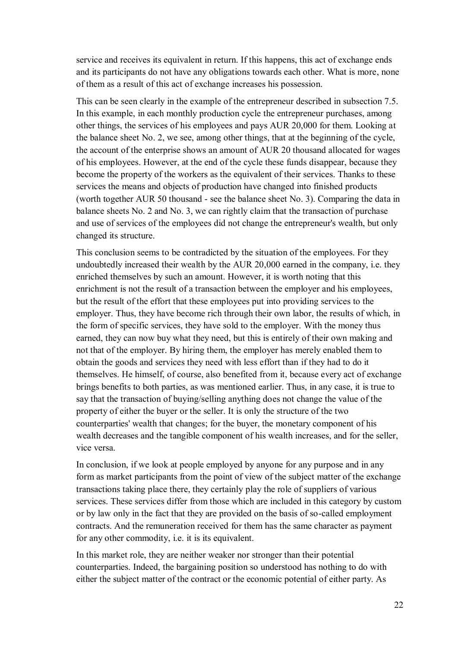service and receives its equivalent in return. If this happens, this act of exchange ends and its participants do not have any obligations towards each other. What is more, none of them as a result of this act of exchange increases his possession.

This can be seen clearly in the example of the entrepreneur described in subsection 7.5. In this example, in each monthly production cycle the entrepreneur purchases, among other things, the services of his employees and pays AUR 20,000 for them. Looking at the balance sheet No. 2, we see, among other things, that at the beginning of the cycle, the account of the enterprise shows an amount of AUR 20 thousand allocated for wages of his employees. However, at the end of the cycle these funds disappear, because they become the property of the workers as the equivalent of their services. Thanks to these services the means and objects of production have changed into finished products (worth together AUR 50 thousand - see the balance sheet No. 3). Comparing the data in balance sheets No. 2 and No. 3, we can rightly claim that the transaction of purchase and use of services of the employees did not change the entrepreneur's wealth, but only changed its structure.

This conclusion seems to be contradicted by the situation of the employees. For they undoubtedly increased their wealth by the AUR 20,000 earned in the company, i.e. they enriched themselves by such an amount. However, it is worth noting that this enrichment is not the result of a transaction between the employer and his employees, but the result of the effort that these employees put into providing services to the employer. Thus, they have become rich through their own labor, the results of which, in the form of specific services, they have sold to the employer. With the money thus earned, they can now buy what they need, but this is entirely of their own making and not that of the employer. By hiring them, the employer has merely enabled them to obtain the goods and services they need with less effort than if they had to do it themselves. He himself, of course, also benefited from it, because every act of exchange brings benefits to both parties, as was mentioned earlier. Thus, in any case, it is true to say that the transaction of buying/selling anything does not change the value of the property of either the buyer or the seller. It is only the structure of the two counterparties' wealth that changes; for the buyer, the monetary component of his wealth decreases and the tangible component of his wealth increases, and for the seller, vice versa.

In conclusion, if we look at people employed by anyone for any purpose and in any form as market participants from the point of view of the subject matter of the exchange transactions taking place there, they certainly play the role of suppliers of various services. These services differ from those which are included in this category by custom or by law only in the fact that they are provided on the basis of so-called employment contracts. And the remuneration received for them has the same character as payment for any other commodity, i.e. it is its equivalent.

In this market role, they are neither weaker nor stronger than their potential counterparties. Indeed, the bargaining position so understood has nothing to do with either the subject matter of the contract or the economic potential of either party. As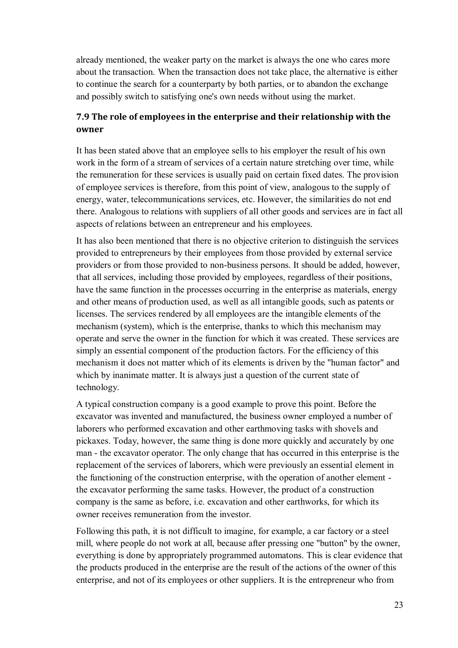already mentioned, the weaker party on the market is always the one who cares more about the transaction. When the transaction does not take place, the alternative is either to continue the search for a counterparty by both parties, or to abandon the exchange and possibly switch to satisfying one's own needs without using the market.

# **7.9 The role of employees in the enterprise and their relationship with the owner**

It has been stated above that an employee sells to his employer the result of his own work in the form of a stream of services of a certain nature stretching over time, while the remuneration for these services is usually paid on certain fixed dates. The provision of employee services is therefore, from this point of view, analogous to the supply of energy, water, telecommunications services, etc. However, the similarities do not end there. Analogous to relations with suppliers of all other goods and services are in fact all aspects of relations between an entrepreneur and his employees.

It has also been mentioned that there is no objective criterion to distinguish the services provided to entrepreneurs by their employees from those provided by external service providers or from those provided to non-business persons. It should be added, however, that all services, including those provided by employees, regardless of their positions, have the same function in the processes occurring in the enterprise as materials, energy and other means of production used, as well as all intangible goods, such as patents or licenses. The services rendered by all employees are the intangible elements of the mechanism (system), which is the enterprise, thanks to which this mechanism may operate and serve the owner in the function for which it was created. These services are simply an essential component of the production factors. For the efficiency of this mechanism it does not matter which of its elements is driven by the "human factor" and which by inanimate matter. It is always just a question of the current state of technology.

A typical construction company is a good example to prove this point. Before the excavator was invented and manufactured, the business owner employed a number of laborers who performed excavation and other earthmoving tasks with shovels and pickaxes. Today, however, the same thing is done more quickly and accurately by one man - the excavator operator. The only change that has occurred in this enterprise is the replacement of the services of laborers, which were previously an essential element in the functioning of the construction enterprise, with the operation of another element the excavator performing the same tasks. However, the product of a construction company is the same as before, i.e. excavation and other earthworks, for which its owner receives remuneration from the investor.

Following this path, it is not difficult to imagine, for example, a car factory or a steel mill, where people do not work at all, because after pressing one "button" by the owner, everything is done by appropriately programmed automatons. This is clear evidence that the products produced in the enterprise are the result of the actions of the owner of this enterprise, and not of its employees or other suppliers. It is the entrepreneur who from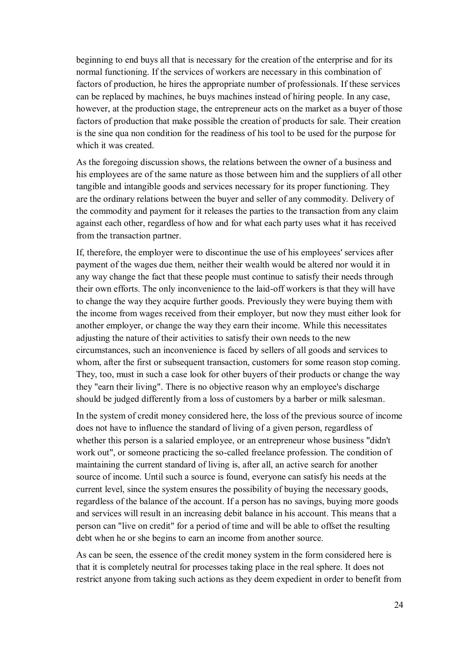beginning to end buys all that is necessary for the creation of the enterprise and for its normal functioning. If the services of workers are necessary in this combination of factors of production, he hires the appropriate number of professionals. If these services can be replaced by machines, he buys machines instead of hiring people. In any case, however, at the production stage, the entrepreneur acts on the market as a buyer of those factors of production that make possible the creation of products for sale. Their creation is the sine qua non condition for the readiness of his tool to be used for the purpose for which it was created.

As the foregoing discussion shows, the relations between the owner of a business and his employees are of the same nature as those between him and the suppliers of all other tangible and intangible goods and services necessary for its proper functioning. They are the ordinary relations between the buyer and seller of any commodity. Delivery of the commodity and payment for it releases the parties to the transaction from any claim against each other, regardless of how and for what each party uses what it has received from the transaction partner.

If, therefore, the employer were to discontinue the use of his employees' services after payment of the wages due them, neither their wealth would be altered nor would it in any way change the fact that these people must continue to satisfy their needs through their own efforts. The only inconvenience to the laid-off workers is that they will have to change the way they acquire further goods. Previously they were buying them with the income from wages received from their employer, but now they must either look for another employer, or change the way they earn their income. While this necessitates adjusting the nature of their activities to satisfy their own needs to the new circumstances, such an inconvenience is faced by sellers of all goods and services to whom, after the first or subsequent transaction, customers for some reason stop coming. They, too, must in such a case look for other buyers of their products or change the way they "earn their living". There is no objective reason why an employee's discharge should be judged differently from a loss of customers by a barber or milk salesman.

In the system of credit money considered here, the loss of the previous source of income does not have to influence the standard of living of a given person, regardless of whether this person is a salaried employee, or an entrepreneur whose business "didn't work out", or someone practicing the so-called freelance profession. The condition of maintaining the current standard of living is, after all, an active search for another source of income. Until such a source is found, everyone can satisfy his needs at the current level, since the system ensures the possibility of buying the necessary goods, regardless of the balance of the account. If a person has no savings, buying more goods and services will result in an increasing debit balance in his account. This means that a person can "live on credit" for a period of time and will be able to offset the resulting debt when he or she begins to earn an income from another source.

As can be seen, the essence of the credit money system in the form considered here is that it is completely neutral for processes taking place in the real sphere. It does not restrict anyone from taking such actions as they deem expedient in order to benefit from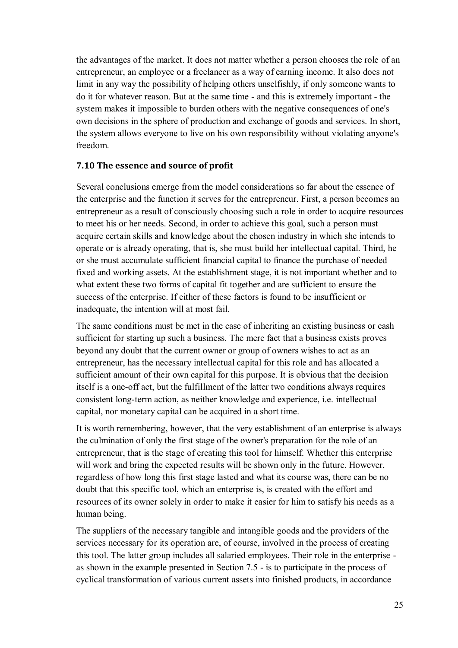the advantages of the market. It does not matter whether a person chooses the role of an entrepreneur, an employee or a freelancer as a way of earning income. It also does not limit in any way the possibility of helping others unselfishly, if only someone wants to do it for whatever reason. But at the same time - and this is extremely important - the system makes it impossible to burden others with the negative consequences of one's own decisions in the sphere of production and exchange of goods and services. In short, the system allows everyone to live on his own responsibility without violating anyone's freedom.

#### **7.10 The essence and source of profit**

Several conclusions emerge from the model considerations so far about the essence of the enterprise and the function it serves for the entrepreneur. First, a person becomes an entrepreneur as a result of consciously choosing such a role in order to acquire resources to meet his or her needs. Second, in order to achieve this goal, such a person must acquire certain skills and knowledge about the chosen industry in which she intends to operate or is already operating, that is, she must build her intellectual capital. Third, he or she must accumulate sufficient financial capital to finance the purchase of needed fixed and working assets. At the establishment stage, it is not important whether and to what extent these two forms of capital fit together and are sufficient to ensure the success of the enterprise. If either of these factors is found to be insufficient or inadequate, the intention will at most fail.

The same conditions must be met in the case of inheriting an existing business or cash sufficient for starting up such a business. The mere fact that a business exists proves beyond any doubt that the current owner or group of owners wishes to act as an entrepreneur, has the necessary intellectual capital for this role and has allocated a sufficient amount of their own capital for this purpose. It is obvious that the decision itself is a one-off act, but the fulfillment of the latter two conditions always requires consistent long-term action, as neither knowledge and experience, i.e. intellectual capital, nor monetary capital can be acquired in a short time.

It is worth remembering, however, that the very establishment of an enterprise is always the culmination of only the first stage of the owner's preparation for the role of an entrepreneur, that is the stage of creating this tool for himself. Whether this enterprise will work and bring the expected results will be shown only in the future. However, regardless of how long this first stage lasted and what its course was, there can be no doubt that this specific tool, which an enterprise is, is created with the effort and resources of its owner solely in order to make it easier for him to satisfy his needs as a human being.

The suppliers of the necessary tangible and intangible goods and the providers of the services necessary for its operation are, of course, involved in the process of creating this tool. The latter group includes all salaried employees. Their role in the enterprise as shown in the example presented in Section 7.5 - is to participate in the process of cyclical transformation of various current assets into finished products, in accordance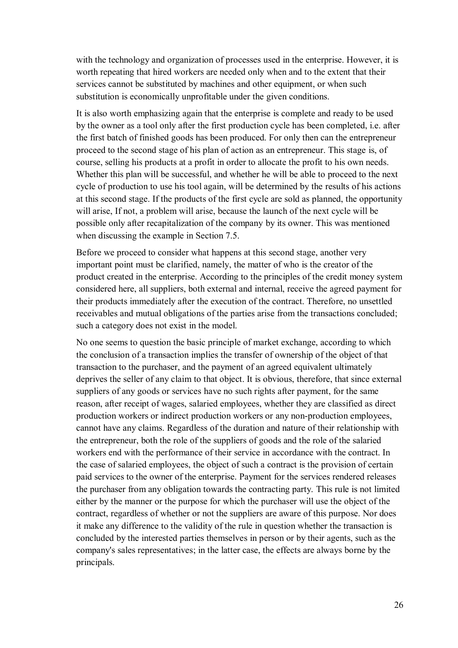with the technology and organization of processes used in the enterprise. However, it is worth repeating that hired workers are needed only when and to the extent that their services cannot be substituted by machines and other equipment, or when such substitution is economically unprofitable under the given conditions.

It is also worth emphasizing again that the enterprise is complete and ready to be used by the owner as a tool only after the first production cycle has been completed, i.e. after the first batch of finished goods has been produced. For only then can the entrepreneur proceed to the second stage of his plan of action as an entrepreneur. This stage is, of course, selling his products at a profit in order to allocate the profit to his own needs. Whether this plan will be successful, and whether he will be able to proceed to the next cycle of production to use his tool again, will be determined by the results of his actions at this second stage. If the products of the first cycle are sold as planned, the opportunity will arise, If not, a problem will arise, because the launch of the next cycle will be possible only after recapitalization of the company by its owner. This was mentioned when discussing the example in Section 7.5.

Before we proceed to consider what happens at this second stage, another very important point must be clarified, namely, the matter of who is the creator of the product created in the enterprise. According to the principles of the credit money system considered here, all suppliers, both external and internal, receive the agreed payment for their products immediately after the execution of the contract. Therefore, no unsettled receivables and mutual obligations of the parties arise from the transactions concluded; such a category does not exist in the model.

No one seems to question the basic principle of market exchange, according to which the conclusion of a transaction implies the transfer of ownership of the object of that transaction to the purchaser, and the payment of an agreed equivalent ultimately deprives the seller of any claim to that object. It is obvious, therefore, that since external suppliers of any goods or services have no such rights after payment, for the same reason, after receipt of wages, salaried employees, whether they are classified as direct production workers or indirect production workers or any non-production employees, cannot have any claims. Regardless of the duration and nature of their relationship with the entrepreneur, both the role of the suppliers of goods and the role of the salaried workers end with the performance of their service in accordance with the contract. In the case of salaried employees, the object of such a contract is the provision of certain paid services to the owner of the enterprise. Payment for the services rendered releases the purchaser from any obligation towards the contracting party. This rule is not limited either by the manner or the purpose for which the purchaser will use the object of the contract, regardless of whether or not the suppliers are aware of this purpose. Nor does it make any difference to the validity of the rule in question whether the transaction is concluded by the interested parties themselves in person or by their agents, such as the company's sales representatives; in the latter case, the effects are always borne by the principals.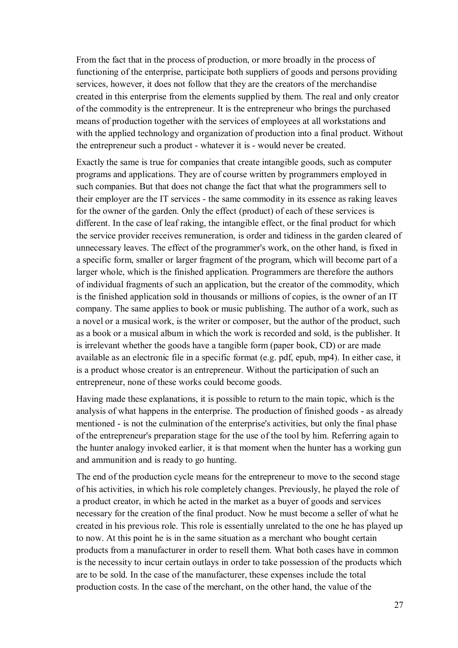From the fact that in the process of production, or more broadly in the process of functioning of the enterprise, participate both suppliers of goods and persons providing services, however, it does not follow that they are the creators of the merchandise created in this enterprise from the elements supplied by them. The real and only creator of the commodity is the entrepreneur. It is the entrepreneur who brings the purchased means of production together with the services of employees at all workstations and with the applied technology and organization of production into a final product. Without the entrepreneur such a product - whatever it is - would never be created.

Exactly the same is true for companies that create intangible goods, such as computer programs and applications. They are of course written by programmers employed in such companies. But that does not change the fact that what the programmers sell to their employer are the IT services - the same commodity in its essence as raking leaves for the owner of the garden. Only the effect (product) of each of these services is different. In the case of leaf raking, the intangible effect, or the final product for which the service provider receives remuneration, is order and tidiness in the garden cleared of unnecessary leaves. The effect of the programmer's work, on the other hand, is fixed in a specific form, smaller or larger fragment of the program, which will become part of a larger whole, which is the finished application. Programmers are therefore the authors of individual fragments of such an application, but the creator of the commodity, which is the finished application sold in thousands or millions of copies, is the owner of an IT company. The same applies to book or music publishing. The author of a work, such as a novel or a musical work, is the writer or composer, but the author of the product, such as a book or a musical album in which the work is recorded and sold, is the publisher. It is irrelevant whether the goods have a tangible form (paper book, CD) or are made available as an electronic file in a specific format (e.g. pdf, epub, mp4). In either case, it is a product whose creator is an entrepreneur. Without the participation of such an entrepreneur, none of these works could become goods.

Having made these explanations, it is possible to return to the main topic, which is the analysis of what happens in the enterprise. The production of finished goods - as already mentioned - is not the culmination of the enterprise's activities, but only the final phase of the entrepreneur's preparation stage for the use of the tool by him. Referring again to the hunter analogy invoked earlier, it is that moment when the hunter has a working gun and ammunition and is ready to go hunting.

The end of the production cycle means for the entrepreneur to move to the second stage of his activities, in which his role completely changes. Previously, he played the role of a product creator, in which he acted in the market as a buyer of goods and services necessary for the creation of the final product. Now he must become a seller of what he created in his previous role. This role is essentially unrelated to the one he has played up to now. At this point he is in the same situation as a merchant who bought certain products from a manufacturer in order to resell them. What both cases have in common is the necessity to incur certain outlays in order to take possession of the products which are to be sold. In the case of the manufacturer, these expenses include the total production costs. In the case of the merchant, on the other hand, the value of the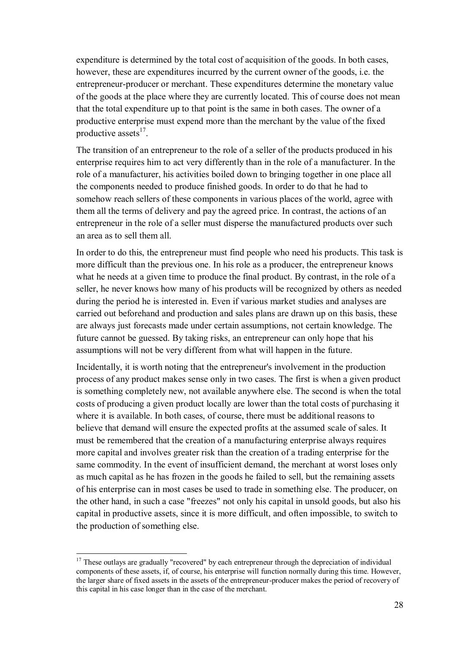expenditure is determined by the total cost of acquisition of the goods. In both cases, however, these are expenditures incurred by the current owner of the goods, i.e. the entrepreneur-producer or merchant. These expenditures determine the monetary value of the goods at the place where they are currently located. This of course does not mean that the total expenditure up to that point is the same in both cases. The owner of a productive enterprise must expend more than the merchant by the value of the fixed productive assets<sup>17</sup>.

The transition of an entrepreneur to the role of a seller of the products produced in his enterprise requires him to act very differently than in the role of a manufacturer. In the role of a manufacturer, his activities boiled down to bringing together in one place all the components needed to produce finished goods. In order to do that he had to somehow reach sellers of these components in various places of the world, agree with them all the terms of delivery and pay the agreed price. In contrast, the actions of an entrepreneur in the role of a seller must disperse the manufactured products over such an area as to sell them all.

In order to do this, the entrepreneur must find people who need his products. This task is more difficult than the previous one. In his role as a producer, the entrepreneur knows what he needs at a given time to produce the final product. By contrast, in the role of a seller, he never knows how many of his products will be recognized by others as needed during the period he is interested in. Even if various market studies and analyses are carried out beforehand and production and sales plans are drawn up on this basis, these are always just forecasts made under certain assumptions, not certain knowledge. The future cannot be guessed. By taking risks, an entrepreneur can only hope that his assumptions will not be very different from what will happen in the future.

Incidentally, it is worth noting that the entrepreneur's involvement in the production process of any product makes sense only in two cases. The first is when a given product is something completely new, not available anywhere else. The second is when the total costs of producing a given product locally are lower than the total costs of purchasing it where it is available. In both cases, of course, there must be additional reasons to believe that demand will ensure the expected profits at the assumed scale of sales. It must be remembered that the creation of a manufacturing enterprise always requires more capital and involves greater risk than the creation of a trading enterprise for the same commodity. In the event of insufficient demand, the merchant at worst loses only as much capital as he has frozen in the goods he failed to sell, but the remaining assets of his enterprise can in most cases be used to trade in something else. The producer, on the other hand, in such a case "freezes" not only his capital in unsold goods, but also his capital in productive assets, since it is more difficult, and often impossible, to switch to the production of something else.

 $17$  These outlays are gradually "recovered" by each entrepreneur through the depreciation of individual components of these assets, if, of course, his enterprise will function normally during this time. However, the larger share of fixed assets in the assets of the entrepreneur-producer makes the period of recovery of this capital in his case longer than in the case of the merchant.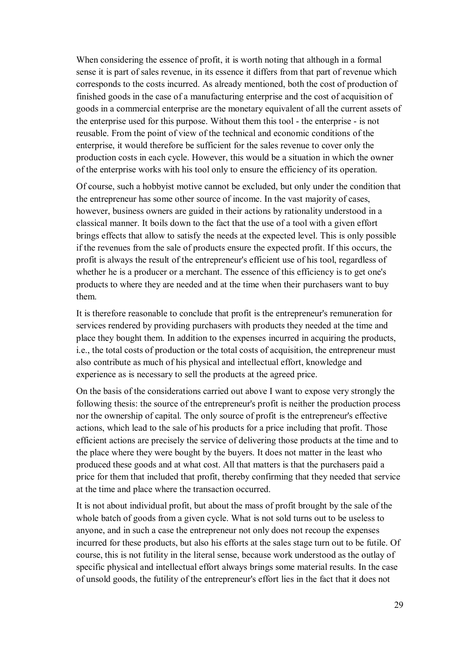When considering the essence of profit, it is worth noting that although in a formal sense it is part of sales revenue, in its essence it differs from that part of revenue which corresponds to the costs incurred. As already mentioned, both the cost of production of finished goods in the case of a manufacturing enterprise and the cost of acquisition of goods in a commercial enterprise are the monetary equivalent of all the current assets of the enterprise used for this purpose. Without them this tool - the enterprise - is not reusable. From the point of view of the technical and economic conditions of the enterprise, it would therefore be sufficient for the sales revenue to cover only the production costs in each cycle. However, this would be a situation in which the owner of the enterprise works with his tool only to ensure the efficiency of its operation.

Of course, such a hobbyist motive cannot be excluded, but only under the condition that the entrepreneur has some other source of income. In the vast majority of cases, however, business owners are guided in their actions by rationality understood in a classical manner. It boils down to the fact that the use of a tool with a given effort brings effects that allow to satisfy the needs at the expected level. This is only possible if the revenues from the sale of products ensure the expected profit. If this occurs, the profit is always the result of the entrepreneur's efficient use of his tool, regardless of whether he is a producer or a merchant. The essence of this efficiency is to get one's products to where they are needed and at the time when their purchasers want to buy them.

It is therefore reasonable to conclude that profit is the entrepreneur's remuneration for services rendered by providing purchasers with products they needed at the time and place they bought them. In addition to the expenses incurred in acquiring the products, i.e., the total costs of production or the total costs of acquisition, the entrepreneur must also contribute as much of his physical and intellectual effort, knowledge and experience as is necessary to sell the products at the agreed price.

On the basis of the considerations carried out above I want to expose very strongly the following thesis: the source of the entrepreneur's profit is neither the production process nor the ownership of capital. The only source of profit is the entrepreneur's effective actions, which lead to the sale of his products for a price including that profit. Those efficient actions are precisely the service of delivering those products at the time and to the place where they were bought by the buyers. It does not matter in the least who produced these goods and at what cost. All that matters is that the purchasers paid a price for them that included that profit, thereby confirming that they needed that service at the time and place where the transaction occurred.

It is not about individual profit, but about the mass of profit brought by the sale of the whole batch of goods from a given cycle. What is not sold turns out to be useless to anyone, and in such a case the entrepreneur not only does not recoup the expenses incurred for these products, but also his efforts at the sales stage turn out to be futile. Of course, this is not futility in the literal sense, because work understood as the outlay of specific physical and intellectual effort always brings some material results. In the case of unsold goods, the futility of the entrepreneur's effort lies in the fact that it does not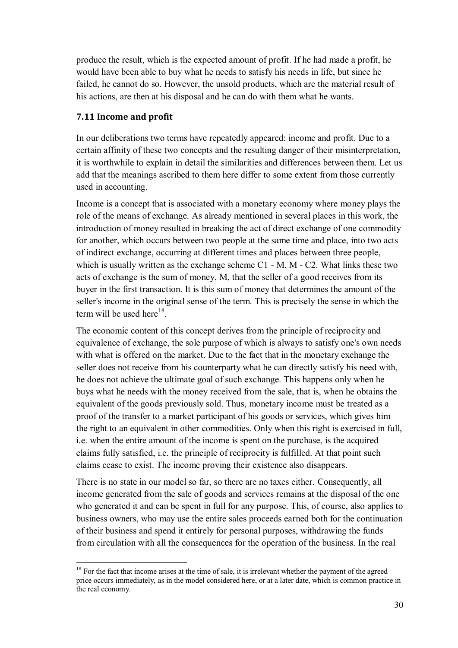produce the result, which is the expected amount of profit. If he had made a profit, he would have been able to buy what he needs to satisfy his needs in life, but since he failed, he cannot do so. However, the unsold products, which are the material result of his actions, are then at his disposal and he can do with them what he wants.

### **7.11 Income and profit**

 $\overline{a}$ 

In our deliberations two terms have repeatedly appeared: income and profit. Due to a certain affinity of these two concepts and the resulting danger of their misinterpretation, it is worthwhile to explain in detail the similarities and differences between them. Let us add that the meanings ascribed to them here differ to some extent from those currently used in accounting.

Income is a concept that is associated with a monetary economy where money plays the role of the means of exchange. As already mentioned in several places in this work, the introduction of money resulted in breaking the act of direct exchange of one commodity for another, which occurs between two people at the same time and place, into two acts of indirect exchange, occurring at different times and places between three people, which is usually written as the exchange scheme  $C1 - M$ ,  $M - C2$ . What links these two acts of exchange is the sum of money, M, that the seller of a good receives from its buyer in the first transaction. It is this sum of money that determines the amount of the seller's income in the original sense of the term. This is precisely the sense in which the term will be used here<sup>18</sup>.

The economic content of this concept derives from the principle of reciprocity and equivalence of exchange, the sole purpose of which is always to satisfy one's own needs with what is offered on the market. Due to the fact that in the monetary exchange the seller does not receive from his counterparty what he can directly satisfy his need with, he does not achieve the ultimate goal of such exchange. This happens only when he buys what he needs with the money received from the sale, that is, when he obtains the equivalent of the goods previously sold. Thus, monetary income must be treated as a proof of the transfer to a market participant of his goods or services, which gives him the right to an equivalent in other commodities. Only when this right is exercised in full, i.e. when the entire amount of the income is spent on the purchase, is the acquired claims fully satisfied, i.e. the principle of reciprocity is fulfilled. At that point such claims cease to exist. The income proving their existence also disappears.

There is no state in our model so far, so there are no taxes either. Consequently, all income generated from the sale of goods and services remains at the disposal of the one who generated it and can be spent in full for any purpose. This, of course, also applies to business owners, who may use the entire sales proceeds earned both for the continuation of their business and spend it entirely for personal purposes, withdrawing the funds from circulation with all the consequences for the operation of the business. In the real

 $18$  For the fact that income arises at the time of sale, it is irrelevant whether the payment of the agreed price occurs immediately, as in the model considered here, or at a later date, which is common practice in the real economy.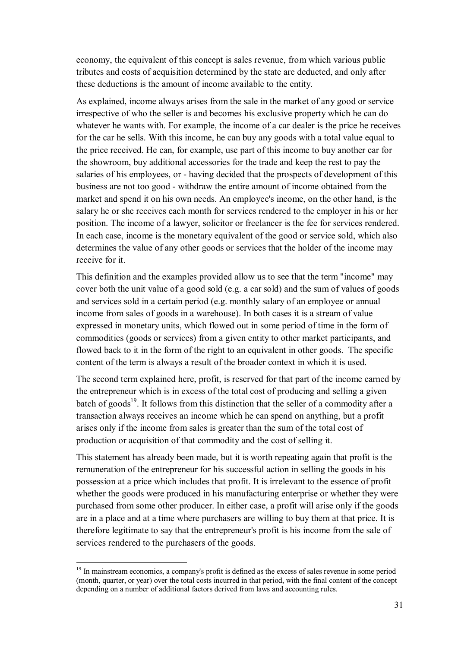economy, the equivalent of this concept is sales revenue, from which various public tributes and costs of acquisition determined by the state are deducted, and only after these deductions is the amount of income available to the entity.

As explained, income always arises from the sale in the market of any good or service irrespective of who the seller is and becomes his exclusive property which he can do whatever he wants with. For example, the income of a car dealer is the price he receives for the car he sells. With this income, he can buy any goods with a total value equal to the price received. He can, for example, use part of this income to buy another car for the showroom, buy additional accessories for the trade and keep the rest to pay the salaries of his employees, or - having decided that the prospects of development of this business are not too good - withdraw the entire amount of income obtained from the market and spend it on his own needs. An employee's income, on the other hand, is the salary he or she receives each month for services rendered to the employer in his or her position. The income of a lawyer, solicitor or freelancer is the fee for services rendered. In each case, income is the monetary equivalent of the good or service sold, which also determines the value of any other goods or services that the holder of the income may receive for it.

This definition and the examples provided allow us to see that the term "income" may cover both the unit value of a good sold (e.g. a car sold) and the sum of values of goods and services sold in a certain period (e.g. monthly salary of an employee or annual income from sales of goods in a warehouse). In both cases it is a stream of value expressed in monetary units, which flowed out in some period of time in the form of commodities (goods or services) from a given entity to other market participants, and flowed back to it in the form of the right to an equivalent in other goods. The specific content of the term is always a result of the broader context in which it is used.

The second term explained here, profit, is reserved for that part of the income earned by the entrepreneur which is in excess of the total cost of producing and selling a given batch of goods<sup>19</sup>. It follows from this distinction that the seller of a commodity after a transaction always receives an income which he can spend on anything, but a profit arises only if the income from sales is greater than the sum of the total cost of production or acquisition of that commodity and the cost of selling it.

This statement has already been made, but it is worth repeating again that profit is the remuneration of the entrepreneur for his successful action in selling the goods in his possession at a price which includes that profit. It is irrelevant to the essence of profit whether the goods were produced in his manufacturing enterprise or whether they were purchased from some other producer. In either case, a profit will arise only if the goods are in a place and at a time where purchasers are willing to buy them at that price. It is therefore legitimate to say that the entrepreneur's profit is his income from the sale of services rendered to the purchasers of the goods.

<sup>&</sup>lt;sup>19</sup> In mainstream economics, a company's profit is defined as the excess of sales revenue in some period (month, quarter, or year) over the total costs incurred in that period, with the final content of the concept depending on a number of additional factors derived from laws and accounting rules.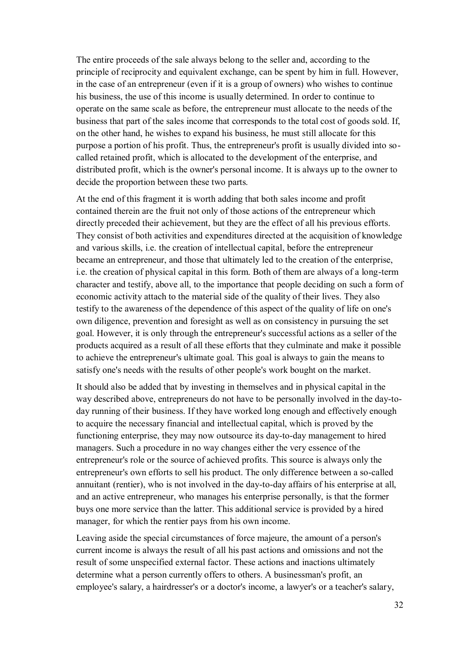The entire proceeds of the sale always belong to the seller and, according to the principle of reciprocity and equivalent exchange, can be spent by him in full. However, in the case of an entrepreneur (even if it is a group of owners) who wishes to continue his business, the use of this income is usually determined. In order to continue to operate on the same scale as before, the entrepreneur must allocate to the needs of the business that part of the sales income that corresponds to the total cost of goods sold. If, on the other hand, he wishes to expand his business, he must still allocate for this purpose a portion of his profit. Thus, the entrepreneur's profit is usually divided into socalled retained profit, which is allocated to the development of the enterprise, and distributed profit, which is the owner's personal income. It is always up to the owner to decide the proportion between these two parts.

At the end of this fragment it is worth adding that both sales income and profit contained therein are the fruit not only of those actions of the entrepreneur which directly preceded their achievement, but they are the effect of all his previous efforts. They consist of both activities and expenditures directed at the acquisition of knowledge and various skills, i.e. the creation of intellectual capital, before the entrepreneur became an entrepreneur, and those that ultimately led to the creation of the enterprise, i.e. the creation of physical capital in this form. Both of them are always of a long-term character and testify, above all, to the importance that people deciding on such a form of economic activity attach to the material side of the quality of their lives. They also testify to the awareness of the dependence of this aspect of the quality of life on one's own diligence, prevention and foresight as well as on consistency in pursuing the set goal. However, it is only through the entrepreneur's successful actions as a seller of the products acquired as a result of all these efforts that they culminate and make it possible to achieve the entrepreneur's ultimate goal. This goal is always to gain the means to satisfy one's needs with the results of other people's work bought on the market.

It should also be added that by investing in themselves and in physical capital in the way described above, entrepreneurs do not have to be personally involved in the day-today running of their business. If they have worked long enough and effectively enough to acquire the necessary financial and intellectual capital, which is proved by the functioning enterprise, they may now outsource its day-to-day management to hired managers. Such a procedure in no way changes either the very essence of the entrepreneur's role or the source of achieved profits. This source is always only the entrepreneur's own efforts to sell his product. The only difference between a so-called annuitant (rentier), who is not involved in the day-to-day affairs of his enterprise at all, and an active entrepreneur, who manages his enterprise personally, is that the former buys one more service than the latter. This additional service is provided by a hired manager, for which the rentier pays from his own income.

Leaving aside the special circumstances of force majeure, the amount of a person's current income is always the result of all his past actions and omissions and not the result of some unspecified external factor. These actions and inactions ultimately determine what a person currently offers to others. A businessman's profit, an employee's salary, a hairdresser's or a doctor's income, a lawyer's or a teacher's salary,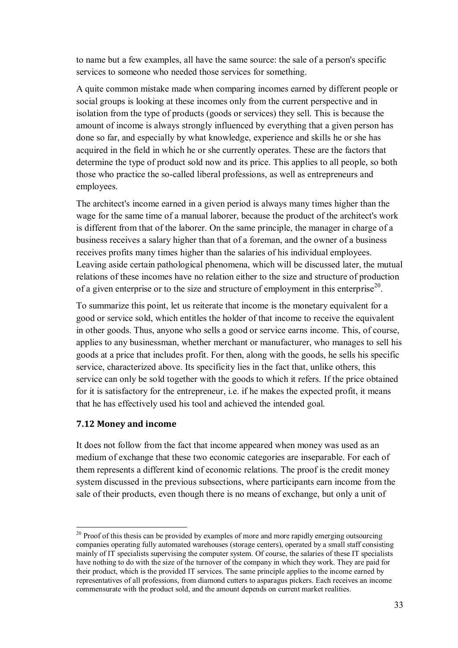to name but a few examples, all have the same source: the sale of a person's specific services to someone who needed those services for something.

A quite common mistake made when comparing incomes earned by different people or social groups is looking at these incomes only from the current perspective and in isolation from the type of products (goods or services) they sell. This is because the amount of income is always strongly influenced by everything that a given person has done so far, and especially by what knowledge, experience and skills he or she has acquired in the field in which he or she currently operates. These are the factors that determine the type of product sold now and its price. This applies to all people, so both those who practice the so-called liberal professions, as well as entrepreneurs and employees.

The architect's income earned in a given period is always many times higher than the wage for the same time of a manual laborer, because the product of the architect's work is different from that of the laborer. On the same principle, the manager in charge of a business receives a salary higher than that of a foreman, and the owner of a business receives profits many times higher than the salaries of his individual employees. Leaving aside certain pathological phenomena, which will be discussed later, the mutual relations of these incomes have no relation either to the size and structure of production of a given enterprise or to the size and structure of employment in this enterprise<sup>20</sup>.

To summarize this point, let us reiterate that income is the monetary equivalent for a good or service sold, which entitles the holder of that income to receive the equivalent in other goods. Thus, anyone who sells a good or service earns income. This, of course, applies to any businessman, whether merchant or manufacturer, who manages to sell his goods at a price that includes profit. For then, along with the goods, he sells his specific service, characterized above. Its specificity lies in the fact that, unlike others, this service can only be sold together with the goods to which it refers. If the price obtained for it is satisfactory for the entrepreneur, i.e. if he makes the expected profit, it means that he has effectively used his tool and achieved the intended goal.

#### **7.12 Money and income**

 $\overline{a}$ 

It does not follow from the fact that income appeared when money was used as an medium of exchange that these two economic categories are inseparable. For each of them represents a different kind of economic relations. The proof is the credit money system discussed in the previous subsections, where participants earn income from the sale of their products, even though there is no means of exchange, but only a unit of

<sup>&</sup>lt;sup>20</sup> Proof of this thesis can be provided by examples of more and more rapidly emerging outsourcing companies operating fully automated warehouses (storage centers), operated by a small staff consisting mainly of IT specialists supervising the computer system. Of course, the salaries of these IT specialists have nothing to do with the size of the turnover of the company in which they work. They are paid for their product, which is the provided IT services. The same principle applies to the income earned by representatives of all professions, from diamond cutters to asparagus pickers. Each receives an income commensurate with the product sold, and the amount depends on current market realities.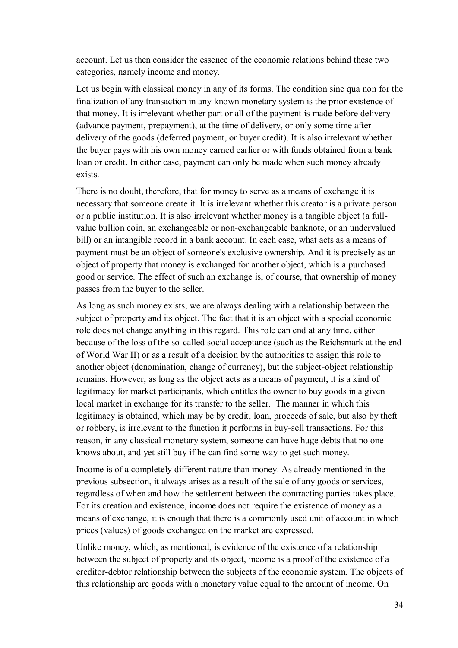account. Let us then consider the essence of the economic relations behind these two categories, namely income and money.

Let us begin with classical money in any of its forms. The condition sine qua non for the finalization of any transaction in any known monetary system is the prior existence of that money. It is irrelevant whether part or all of the payment is made before delivery (advance payment, prepayment), at the time of delivery, or only some time after delivery of the goods (deferred payment, or buyer credit). It is also irrelevant whether the buyer pays with his own money earned earlier or with funds obtained from a bank loan or credit. In either case, payment can only be made when such money already exists.

There is no doubt, therefore, that for money to serve as a means of exchange it is necessary that someone create it. It is irrelevant whether this creator is a private person or a public institution. It is also irrelevant whether money is a tangible object (a fullvalue bullion coin, an exchangeable or non-exchangeable banknote, or an undervalued bill) or an intangible record in a bank account. In each case, what acts as a means of payment must be an object of someone's exclusive ownership. And it is precisely as an object of property that money is exchanged for another object, which is a purchased good or service. The effect of such an exchange is, of course, that ownership of money passes from the buyer to the seller.

As long as such money exists, we are always dealing with a relationship between the subject of property and its object. The fact that it is an object with a special economic role does not change anything in this regard. This role can end at any time, either because of the loss of the so-called social acceptance (such as the Reichsmark at the end of World War II) or as a result of a decision by the authorities to assign this role to another object (denomination, change of currency), but the subject-object relationship remains. However, as long as the object acts as a means of payment, it is a kind of legitimacy for market participants, which entitles the owner to buy goods in a given local market in exchange for its transfer to the seller. The manner in which this legitimacy is obtained, which may be by credit, loan, proceeds of sale, but also by theft or robbery, is irrelevant to the function it performs in buy-sell transactions. For this reason, in any classical monetary system, someone can have huge debts that no one knows about, and yet still buy if he can find some way to get such money.

Income is of a completely different nature than money. As already mentioned in the previous subsection, it always arises as a result of the sale of any goods or services, regardless of when and how the settlement between the contracting parties takes place. For its creation and existence, income does not require the existence of money as a means of exchange, it is enough that there is a commonly used unit of account in which prices (values) of goods exchanged on the market are expressed.

Unlike money, which, as mentioned, is evidence of the existence of a relationship between the subject of property and its object, income is a proof of the existence of a creditor-debtor relationship between the subjects of the economic system. The objects of this relationship are goods with a monetary value equal to the amount of income. On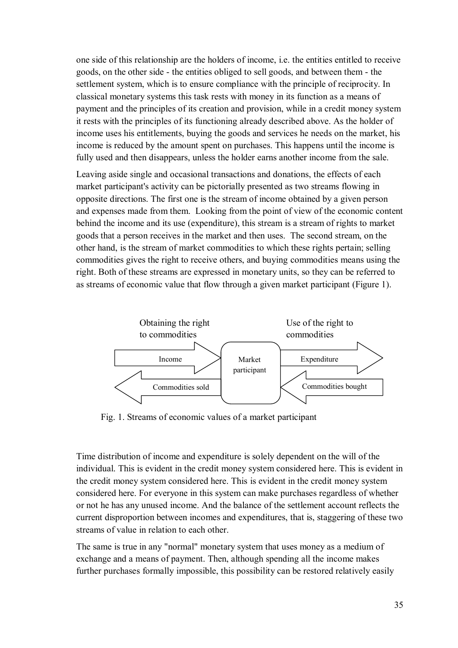one side of this relationship are the holders of income, i.e. the entities entitled to receive goods, on the other side - the entities obliged to sell goods, and between them - the settlement system, which is to ensure compliance with the principle of reciprocity. In classical monetary systems this task rests with money in its function as a means of payment and the principles of its creation and provision, while in a credit money system it rests with the principles of its functioning already described above. As the holder of income uses his entitlements, buying the goods and services he needs on the market, his income is reduced by the amount spent on purchases. This happens until the income is fully used and then disappears, unless the holder earns another income from the sale.

Leaving aside single and occasional transactions and donations, the effects of each market participant's activity can be pictorially presented as two streams flowing in opposite directions. The first one is the stream of income obtained by a given person and expenses made from them. Looking from the point of view of the economic content behind the income and its use (expenditure), this stream is a stream of rights to market goods that a person receives in the market and then uses. The second stream, on the other hand, is the stream of market commodities to which these rights pertain; selling commodities gives the right to receive others, and buying commodities means using the right. Both of these streams are expressed in monetary units, so they can be referred to as streams of economic value that flow through a given market participant (Figure 1).



Fig. 1. Streams of economic values of a market participant

Time distribution of income and expenditure is solely dependent on the will of the individual. This is evident in the credit money system considered here. This is evident in the credit money system considered here. This is evident in the credit money system considered here. For everyone in this system can make purchases regardless of whether or not he has any unused income. And the balance of the settlement account reflects the current disproportion between incomes and expenditures, that is, staggering of these two streams of value in relation to each other.

The same is true in any "normal" monetary system that uses money as a medium of exchange and a means of payment. Then, although spending all the income makes further purchases formally impossible, this possibility can be restored relatively easily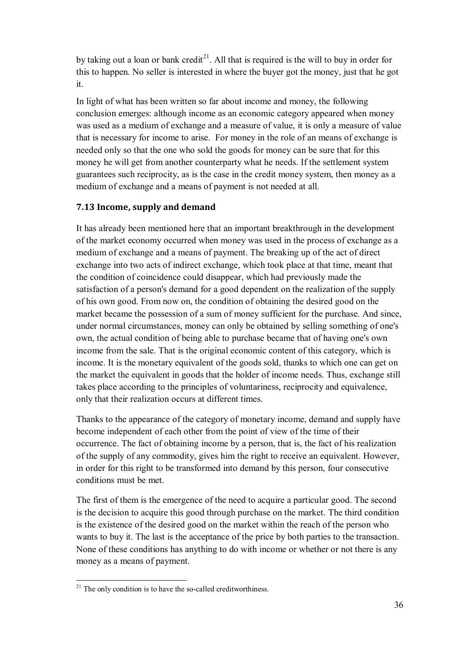by taking out a loan or bank credit<sup>21</sup>. All that is required is the will to buy in order for this to happen. No seller is interested in where the buyer got the money, just that he got it.

In light of what has been written so far about income and money, the following conclusion emerges: although income as an economic category appeared when money was used as a medium of exchange and a measure of value, it is only a measure of value that is necessary for income to arise. For money in the role of an means of exchange is needed only so that the one who sold the goods for money can be sure that for this money he will get from another counterparty what he needs. If the settlement system guarantees such reciprocity, as is the case in the credit money system, then money as a medium of exchange and a means of payment is not needed at all.

### **7.13 Income, supply and demand**

It has already been mentioned here that an important breakthrough in the development of the market economy occurred when money was used in the process of exchange as a medium of exchange and a means of payment. The breaking up of the act of direct exchange into two acts of indirect exchange, which took place at that time, meant that the condition of coincidence could disappear, which had previously made the satisfaction of a person's demand for a good dependent on the realization of the supply of his own good. From now on, the condition of obtaining the desired good on the market became the possession of a sum of money sufficient for the purchase. And since, under normal circumstances, money can only be obtained by selling something of one's own, the actual condition of being able to purchase became that of having one's own income from the sale. That is the original economic content of this category, which is income. It is the monetary equivalent of the goods sold, thanks to which one can get on the market the equivalent in goods that the holder of income needs. Thus, exchange still takes place according to the principles of voluntariness, reciprocity and equivalence, only that their realization occurs at different times.

Thanks to the appearance of the category of monetary income, demand and supply have become independent of each other from the point of view of the time of their occurrence. The fact of obtaining income by a person, that is, the fact of his realization of the supply of any commodity, gives him the right to receive an equivalent. However, in order for this right to be transformed into demand by this person, four consecutive conditions must be met.

The first of them is the emergence of the need to acquire a particular good. The second is the decision to acquire this good through purchase on the market. The third condition is the existence of the desired good on the market within the reach of the person who wants to buy it. The last is the acceptance of the price by both parties to the transaction. None of these conditions has anything to do with income or whether or not there is any money as a means of payment.

 $\overline{a}$  $21$  The only condition is to have the so-called creditworthiness.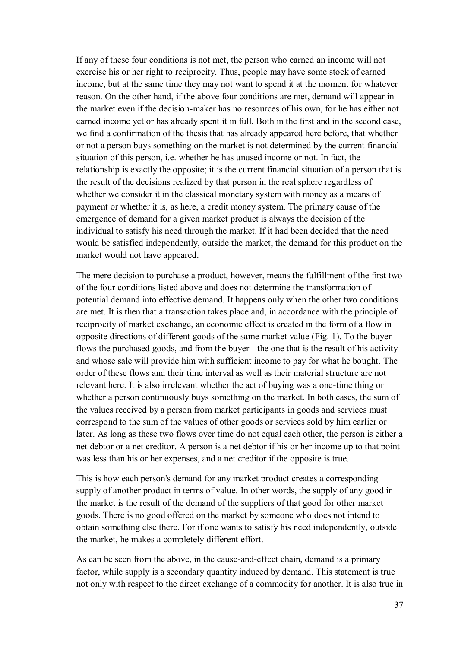If any of these four conditions is not met, the person who earned an income will not exercise his or her right to reciprocity. Thus, people may have some stock of earned income, but at the same time they may not want to spend it at the moment for whatever reason. On the other hand, if the above four conditions are met, demand will appear in the market even if the decision-maker has no resources of his own, for he has either not earned income yet or has already spent it in full. Both in the first and in the second case, we find a confirmation of the thesis that has already appeared here before, that whether or not a person buys something on the market is not determined by the current financial situation of this person, i.e. whether he has unused income or not. In fact, the relationship is exactly the opposite; it is the current financial situation of a person that is the result of the decisions realized by that person in the real sphere regardless of whether we consider it in the classical monetary system with money as a means of payment or whether it is, as here, a credit money system. The primary cause of the emergence of demand for a given market product is always the decision of the individual to satisfy his need through the market. If it had been decided that the need would be satisfied independently, outside the market, the demand for this product on the market would not have appeared.

The mere decision to purchase a product, however, means the fulfillment of the first two of the four conditions listed above and does not determine the transformation of potential demand into effective demand. It happens only when the other two conditions are met. It is then that a transaction takes place and, in accordance with the principle of reciprocity of market exchange, an economic effect is created in the form of a flow in opposite directions of different goods of the same market value (Fig. 1). To the buyer flows the purchased goods, and from the buyer - the one that is the result of his activity and whose sale will provide him with sufficient income to pay for what he bought. The order of these flows and their time interval as well as their material structure are not relevant here. It is also irrelevant whether the act of buying was a one-time thing or whether a person continuously buys something on the market. In both cases, the sum of the values received by a person from market participants in goods and services must correspond to the sum of the values of other goods or services sold by him earlier or later. As long as these two flows over time do not equal each other, the person is either a net debtor or a net creditor. A person is a net debtor if his or her income up to that point was less than his or her expenses, and a net creditor if the opposite is true.

This is how each person's demand for any market product creates a corresponding supply of another product in terms of value. In other words, the supply of any good in the market is the result of the demand of the suppliers of that good for other market goods. There is no good offered on the market by someone who does not intend to obtain something else there. For if one wants to satisfy his need independently, outside the market, he makes a completely different effort.

As can be seen from the above, in the cause-and-effect chain, demand is a primary factor, while supply is a secondary quantity induced by demand. This statement is true not only with respect to the direct exchange of a commodity for another. It is also true in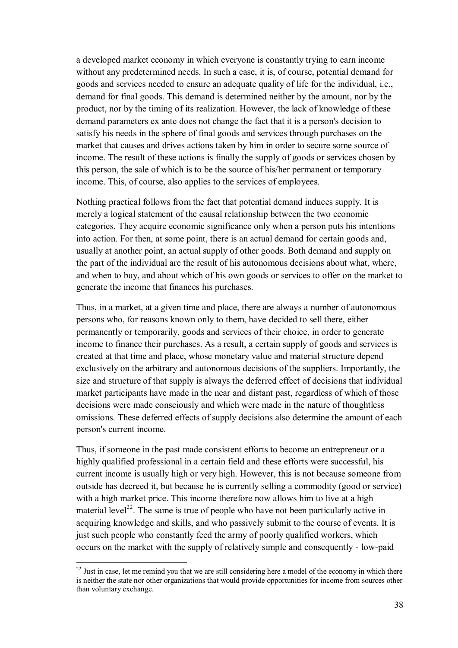a developed market economy in which everyone is constantly trying to earn income without any predetermined needs. In such a case, it is, of course, potential demand for goods and services needed to ensure an adequate quality of life for the individual, i.e., demand for final goods. This demand is determined neither by the amount, nor by the product, nor by the timing of its realization. However, the lack of knowledge of these demand parameters ex ante does not change the fact that it is a person's decision to satisfy his needs in the sphere of final goods and services through purchases on the market that causes and drives actions taken by him in order to secure some source of income. The result of these actions is finally the supply of goods or services chosen by this person, the sale of which is to be the source of his/her permanent or temporary income. This, of course, also applies to the services of employees.

Nothing practical follows from the fact that potential demand induces supply. It is merely a logical statement of the causal relationship between the two economic categories. They acquire economic significance only when a person puts his intentions into action. For then, at some point, there is an actual demand for certain goods and, usually at another point, an actual supply of other goods. Both demand and supply on the part of the individual are the result of his autonomous decisions about what, where, and when to buy, and about which of his own goods or services to offer on the market to generate the income that finances his purchases.

Thus, in a market, at a given time and place, there are always a number of autonomous persons who, for reasons known only to them, have decided to sell there, either permanently or temporarily, goods and services of their choice, in order to generate income to finance their purchases. As a result, a certain supply of goods and services is created at that time and place, whose monetary value and material structure depend exclusively on the arbitrary and autonomous decisions of the suppliers. Importantly, the size and structure of that supply is always the deferred effect of decisions that individual market participants have made in the near and distant past, regardless of which of those decisions were made consciously and which were made in the nature of thoughtless omissions. These deferred effects of supply decisions also determine the amount of each person's current income.

Thus, if someone in the past made consistent efforts to become an entrepreneur or a highly qualified professional in a certain field and these efforts were successful, his current income is usually high or very high. However, this is not because someone from outside has decreed it, but because he is currently selling a commodity (good or service) with a high market price. This income therefore now allows him to live at a high material level<sup>22</sup>. The same is true of people who have not been particularly active in acquiring knowledge and skills, and who passively submit to the course of events. It is just such people who constantly feed the army of poorly qualified workers, which occurs on the market with the supply of relatively simple and consequently - low-paid

<sup>&</sup>lt;sup>22</sup> Just in case, let me remind you that we are still considering here a model of the economy in which there is neither the state nor other organizations that would provide opportunities for income from sources other than voluntary exchange.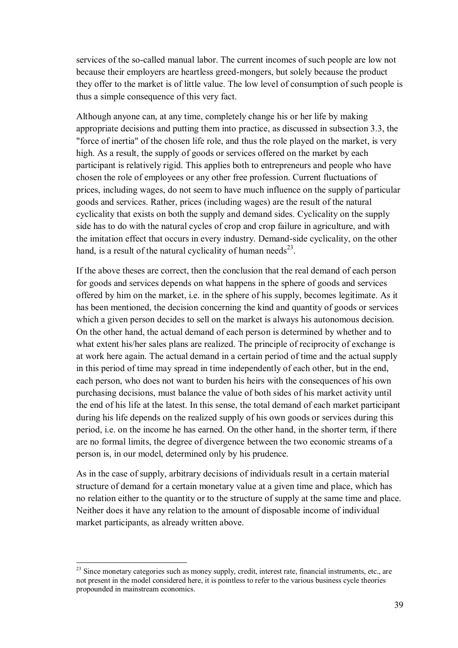services of the so-called manual labor. The current incomes of such people are low not because their employers are heartless greed-mongers, but solely because the product they offer to the market is of little value. The low level of consumption of such people is thus a simple consequence of this very fact.

Although anyone can, at any time, completely change his or her life by making appropriate decisions and putting them into practice, as discussed in subsection 3.3, the "force of inertia" of the chosen life role, and thus the role played on the market, is very high. As a result, the supply of goods or services offered on the market by each participant is relatively rigid. This applies both to entrepreneurs and people who have chosen the role of employees or any other free profession. Current fluctuations of prices, including wages, do not seem to have much influence on the supply of particular goods and services. Rather, prices (including wages) are the result of the natural cyclicality that exists on both the supply and demand sides. Cyclicality on the supply side has to do with the natural cycles of crop and crop failure in agriculture, and with the imitation effect that occurs in every industry. Demand-side cyclicality, on the other hand, is a result of the natural cyclicality of human needs<sup>23</sup>.

If the above theses are correct, then the conclusion that the real demand of each person for goods and services depends on what happens in the sphere of goods and services offered by him on the market, i.e. in the sphere of his supply, becomes legitimate. As it has been mentioned, the decision concerning the kind and quantity of goods or services which a given person decides to sell on the market is always his autonomous decision. On the other hand, the actual demand of each person is determined by whether and to what extent his/her sales plans are realized. The principle of reciprocity of exchange is at work here again. The actual demand in a certain period of time and the actual supply in this period of time may spread in time independently of each other, but in the end, each person, who does not want to burden his heirs with the consequences of his own purchasing decisions, must balance the value of both sides of his market activity until the end of his life at the latest. In this sense, the total demand of each market participant during his life depends on the realized supply of his own goods or services during this period, i.e. on the income he has earned. On the other hand, in the shorter term, if there are no formal limits, the degree of divergence between the two economic streams of a person is, in our model, determined only by his prudence.

As in the case of supply, arbitrary decisions of individuals result in a certain material structure of demand for a certain monetary value at a given time and place, which has no relation either to the quantity or to the structure of supply at the same time and place. Neither does it have any relation to the amount of disposable income of individual market participants, as already written above.

<sup>&</sup>lt;sup>23</sup> Since monetary categories such as money supply, credit, interest rate, financial instruments, etc., are not present in the model considered here, it is pointless to refer to the various business cycle theories propounded in mainstream economics.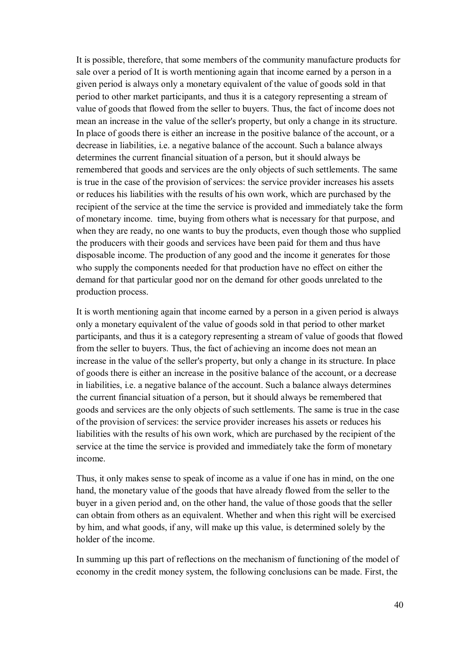It is possible, therefore, that some members of the community manufacture products for sale over a period of It is worth mentioning again that income earned by a person in a given period is always only a monetary equivalent of the value of goods sold in that period to other market participants, and thus it is a category representing a stream of value of goods that flowed from the seller to buyers. Thus, the fact of income does not mean an increase in the value of the seller's property, but only a change in its structure. In place of goods there is either an increase in the positive balance of the account, or a decrease in liabilities, i.e. a negative balance of the account. Such a balance always determines the current financial situation of a person, but it should always be remembered that goods and services are the only objects of such settlements. The same is true in the case of the provision of services: the service provider increases his assets or reduces his liabilities with the results of his own work, which are purchased by the recipient of the service at the time the service is provided and immediately take the form of monetary income. time, buying from others what is necessary for that purpose, and when they are ready, no one wants to buy the products, even though those who supplied the producers with their goods and services have been paid for them and thus have disposable income. The production of any good and the income it generates for those who supply the components needed for that production have no effect on either the demand for that particular good nor on the demand for other goods unrelated to the production process.

It is worth mentioning again that income earned by a person in a given period is always only a monetary equivalent of the value of goods sold in that period to other market participants, and thus it is a category representing a stream of value of goods that flowed from the seller to buyers. Thus, the fact of achieving an income does not mean an increase in the value of the seller's property, but only a change in its structure. In place of goods there is either an increase in the positive balance of the account, or a decrease in liabilities, i.e. a negative balance of the account. Such a balance always determines the current financial situation of a person, but it should always be remembered that goods and services are the only objects of such settlements. The same is true in the case of the provision of services: the service provider increases his assets or reduces his liabilities with the results of his own work, which are purchased by the recipient of the service at the time the service is provided and immediately take the form of monetary income.

Thus, it only makes sense to speak of income as a value if one has in mind, on the one hand, the monetary value of the goods that have already flowed from the seller to the buyer in a given period and, on the other hand, the value of those goods that the seller can obtain from others as an equivalent. Whether and when this right will be exercised by him, and what goods, if any, will make up this value, is determined solely by the holder of the income.

In summing up this part of reflections on the mechanism of functioning of the model of economy in the credit money system, the following conclusions can be made. First, the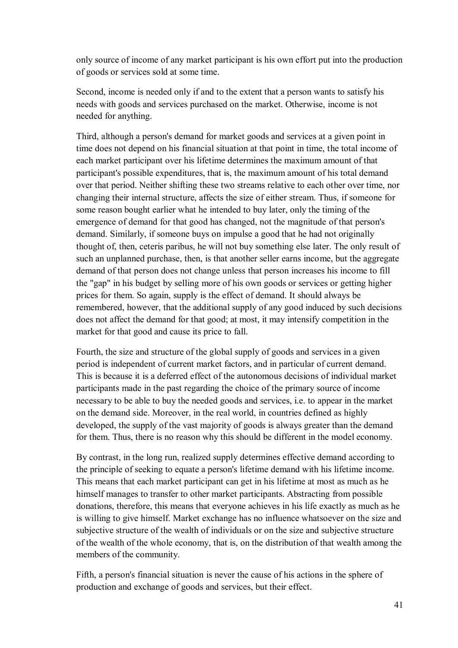only source of income of any market participant is his own effort put into the production of goods or services sold at some time.

Second, income is needed only if and to the extent that a person wants to satisfy his needs with goods and services purchased on the market. Otherwise, income is not needed for anything.

Third, although a person's demand for market goods and services at a given point in time does not depend on his financial situation at that point in time, the total income of each market participant over his lifetime determines the maximum amount of that participant's possible expenditures, that is, the maximum amount of his total demand over that period. Neither shifting these two streams relative to each other over time, nor changing their internal structure, affects the size of either stream. Thus, if someone for some reason bought earlier what he intended to buy later, only the timing of the emergence of demand for that good has changed, not the magnitude of that person's demand. Similarly, if someone buys on impulse a good that he had not originally thought of, then, ceteris paribus, he will not buy something else later. The only result of such an unplanned purchase, then, is that another seller earns income, but the aggregate demand of that person does not change unless that person increases his income to fill the "gap" in his budget by selling more of his own goods or services or getting higher prices for them. So again, supply is the effect of demand. It should always be remembered, however, that the additional supply of any good induced by such decisions does not affect the demand for that good; at most, it may intensify competition in the market for that good and cause its price to fall.

Fourth, the size and structure of the global supply of goods and services in a given period is independent of current market factors, and in particular of current demand. This is because it is a deferred effect of the autonomous decisions of individual market participants made in the past regarding the choice of the primary source of income necessary to be able to buy the needed goods and services, i.e. to appear in the market on the demand side. Moreover, in the real world, in countries defined as highly developed, the supply of the vast majority of goods is always greater than the demand for them. Thus, there is no reason why this should be different in the model economy.

By contrast, in the long run, realized supply determines effective demand according to the principle of seeking to equate a person's lifetime demand with his lifetime income. This means that each market participant can get in his lifetime at most as much as he himself manages to transfer to other market participants. Abstracting from possible donations, therefore, this means that everyone achieves in his life exactly as much as he is willing to give himself. Market exchange has no influence whatsoever on the size and subjective structure of the wealth of individuals or on the size and subjective structure of the wealth of the whole economy, that is, on the distribution of that wealth among the members of the community.

Fifth, a person's financial situation is never the cause of his actions in the sphere of production and exchange of goods and services, but their effect.